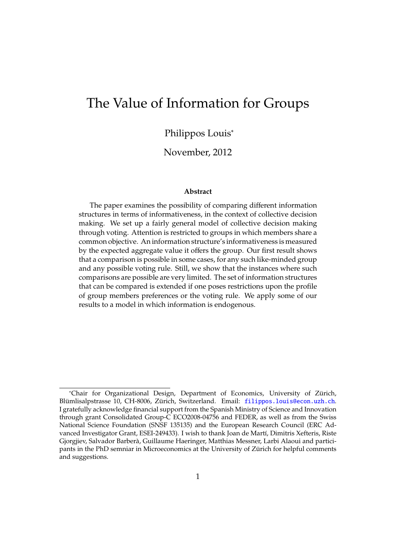# <span id="page-0-0"></span>The Value of Information for Groups

## Philippos Louis<sup>∗</sup>

### November, 2012

#### **Abstract**

The paper examines the possibility of comparing different information structures in terms of informativeness, in the context of collective decision making. We set up a fairly general model of collective decision making through voting. Attention is restricted to groups in which members share a common objective. An information structure's informativeness is measured by the expected aggregate value it offers the group. Our first result shows that a comparison is possible in some cases, for any such like-minded group and any possible voting rule. Still, we show that the instances where such comparisons are possible are very limited. The set of information structures that can be compared is extended if one poses restrictions upon the profile of group members preferences or the voting rule. We apply some of our results to a model in which information is endogenous.

<sup>∗</sup>Chair for Organizational Design, Department of Economics, University of Zurich, ¨ Blümlisalpstrasse 10, CH-8006, Zürich, Switzerland. Email: <filippos.louis@econ.uzh.ch>. I gratefully acknowledge financial support from the Spanish Ministry of Science and Innovation through grant Consolidated Group-C ECO2008-04756 and FEDER, as well as from the Swiss National Science Foundation (SNSF 135135) and the European Research Council (ERC Advanced Investigator Grant, ESEI-249433). I wish to thank Joan de Martí, Dimitris Xefteris, Riste Gjorgjiev, Salvador Barbera, Guillaume Haeringer, Matthias Messner, Larbi Alaoui and partici- ` pants in the PhD semniar in Microeconomics at the University of Zürich for helpful comments and suggestions.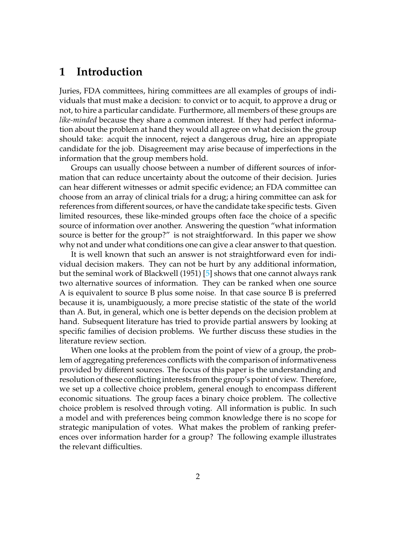## **1 Introduction**

Juries, FDA committees, hiring committees are all examples of groups of individuals that must make a decision: to convict or to acquit, to approve a drug or not, to hire a particular candidate. Furthermore, all members of these groups are *like-minded* because they share a common interest. If they had perfect information about the problem at hand they would all agree on what decision the group should take: acquit the innocent, reject a dangerous drug, hire an appropiate candidate for the job. Disagreement may arise because of imperfections in the information that the group members hold.

Groups can usually choose between a number of different sources of information that can reduce uncertainty about the outcome of their decision. Juries can hear different witnesses or admit specific evidence; an FDA committee can choose from an array of clinical trials for a drug; a hiring committee can ask for references from different sources, or have the candidate take specific tests. Given limited resources, these like-minded groups often face the choice of a specific source of information over another. Answering the question "what information source is better for the group?" is not straightforward. In this paper we show why not and under what conditions one can give a clear answer to that question.

It is well known that such an answer is not straightforward even for individual decision makers. They can not be hurt by any additional information, but the seminal work of Blackwell (1951) [\[5\]](#page-35-0) shows that one cannot always rank two alternative sources of information. They can be ranked when one source A is equivalent to source B plus some noise. In that case source B is preferred because it is, unambiguously, a more precise statistic of the state of the world than A. But, in general, which one is better depends on the decision problem at hand. Subsequent literature has tried to provide partial answers by looking at specific families of decision problems. We further discuss these studies in the literature review section.

When one looks at the problem from the point of view of a group, the problem of aggregating preferences conflicts with the comparison of informativeness provided by different sources. The focus of this paper is the understanding and resolution of these conflicting interests from the group's point of view. Therefore, we set up a collective choice problem, general enough to encompass different economic situations. The group faces a binary choice problem. The collective choice problem is resolved through voting. All information is public. In such a model and with preferences being common knowledge there is no scope for strategic manipulation of votes. What makes the problem of ranking preferences over information harder for a group? The following example illustrates the relevant difficulties.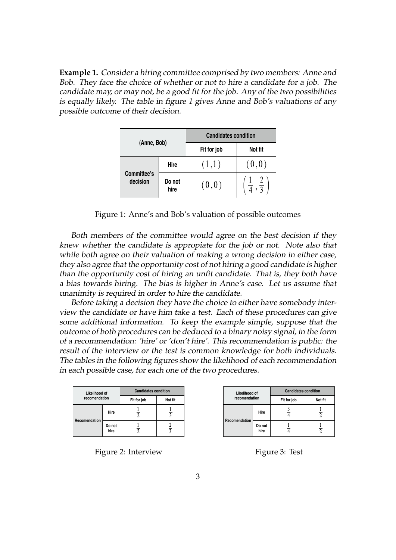**Example 1.** Consider a hiring committee comprised by two members: Anne and Bob. They face the choice of whether or not to hire a candidate for a job. The candidate may, or may not, be a good fit for the job. Any of the two possibilities is equally likely. The table in figure [1](#page-2-0) gives Anne and Bob's valuations of any possible outcome of their decision.

|                         |                | <b>Candidates condition</b> |                               |  |  |  |  |
|-------------------------|----------------|-----------------------------|-------------------------------|--|--|--|--|
| (Anne, Bob)             |                | Fit for job                 | Not fit                       |  |  |  |  |
|                         | Hire           | (1,1)                       | (0,0)                         |  |  |  |  |
| Committee's<br>decision | Do not<br>hire | (0,0)                       | $\frac{1}{4}$ , $\frac{2}{3}$ |  |  |  |  |

<span id="page-2-0"></span>Figure 1: Anne's and Bob's valuation of possible outcomes

Both members of the committee would agree on the best decision if they knew whether the candidate is appropiate for the job or not. Note also that while both agree on their valuation of making a wrong decision in either case, they also agree that the opportunity cost of not hiring a good candidate is higher than the opportunity cost of hiring an unfit candidate. That is, they both have a bias towards hiring. The bias is higher in Anne's case. Let us assume that unanimity is required in order to hire the candidate.

Before taking a decision they have the choice to either have somebody interview the candidate or have him take a test. Each of these procedures can give some additional information. To keep the example simple, suppose that the outcome of both procedures can be deduced to a binary noisy signal, in the form of a recommendation: 'hire' or 'don't hire'. This recommendation is public: the result of the interview or the test is common knowledge for both individuals. The tables in the following figures show the likelihood of each recommendation in each possible case, for each one of the two procedures.

| Likelihood of |                | <b>Candidates condition</b> |         |  |  |  |  |
|---------------|----------------|-----------------------------|---------|--|--|--|--|
| recomendation |                | Fit for job                 | Not fit |  |  |  |  |
|               | Hire           |                             |         |  |  |  |  |
| Recomendation | Do not<br>hire |                             | 2       |  |  |  |  |

Figure 2: Interview

| Likelihood of |                | <b>Candidates condition</b> |         |  |  |  |  |
|---------------|----------------|-----------------------------|---------|--|--|--|--|
| recomendation |                | Fit for job                 | Not fit |  |  |  |  |
|               | Hire           |                             |         |  |  |  |  |
| Recomendation | Do not<br>hire |                             |         |  |  |  |  |

Figure 3: Test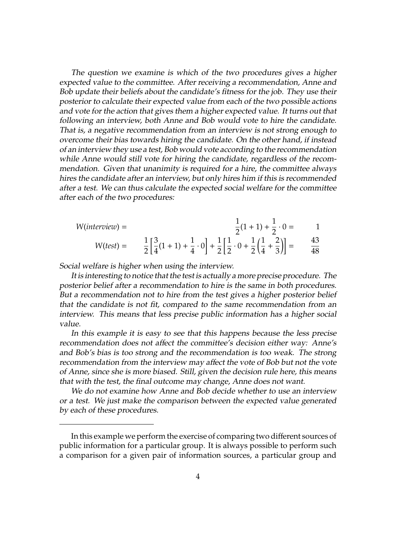The question we examine is which of the two procedures gives a higher expected value to the committee. After receiving a recommendation, Anne and Bob update their beliefs about the candidate's fitness for the job. They use their posterior to calculate their expected value from each of the two possible actions and vote for the action that gives them a higher expected value. It turns out that following an interview, both Anne and Bob would vote to hire the candidate. That is, a negative recommendation from an interview is not strong enough to overcome their bias towards hiring the candidate. On the other hand, if instead of an interview they use a test, Bob would vote according to the recommendation while Anne would still vote for hiring the candidate, regardless of the recommendation. Given that unanimity is required for a hire, the committee always hires the candidate after an interview, but only hires him if this is recommended after a test. We can thus calculate the expected social welfare for the committee after each of the two procedures:

$$
W(interview) = \frac{1}{2} \left[ \frac{3}{4} (1+1) + \frac{1}{4} \cdot 0 \right] + \frac{1}{2} \left[ \frac{1}{2} \cdot 0 + \frac{1}{2} \left( \frac{1}{4} + \frac{2}{3} \right) \right] = \frac{43}{48}
$$

Social welfare is higher when using the interview.

It is interesting to notice that the test is actually a more precise procedure. The posterior belief after a recommendation to hire is the same in both procedures. But a recommendation not to hire from the test gives a higher posterior belief that the candidate is not fit, compared to the same recommendation from an interview. This means that less precise public information has a higher social value.

In this example it is easy to see that this happens because the less precise recommendation does not affect the committee's decision either way: Anne's and Bob's bias is too strong and the recommendation is too weak. The strong recommendation from the interview may affect the vote of Bob but not the vote of Anne, since she is more biased. Still, given the decision rule here, this means that with the test, the final outcome may change, Anne does not want.

We do not examine how Anne and Bob decide whether to use an interview or a test. We just make the comparison between the expected value generated by each of these procedures.

In this example we perform the exercise of comparing two different sources of public information for a particular group. It is always possible to perform such a comparison for a given pair of information sources, a particular group and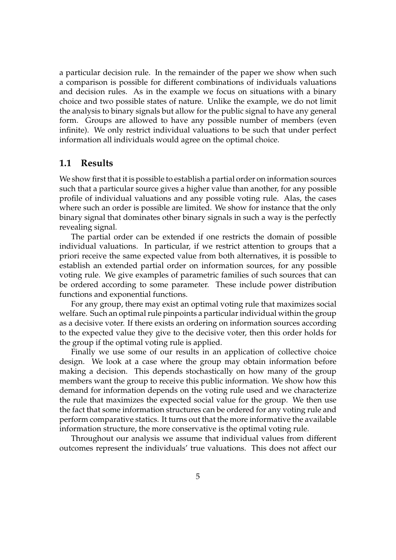a particular decision rule. In the remainder of the paper we show when such a comparison is possible for different combinations of individuals valuations and decision rules. As in the example we focus on situations with a binary choice and two possible states of nature. Unlike the example, we do not limit the analysis to binary signals but allow for the public signal to have any general form. Groups are allowed to have any possible number of members (even infinite). We only restrict individual valuations to be such that under perfect information all individuals would agree on the optimal choice.

### **1.1 Results**

We show first that it is possible to establish a partial order on information sources such that a particular source gives a higher value than another, for any possible profile of individual valuations and any possible voting rule. Alas, the cases where such an order is possible are limited. We show for instance that the only binary signal that dominates other binary signals in such a way is the perfectly revealing signal.

The partial order can be extended if one restricts the domain of possible individual valuations. In particular, if we restrict attention to groups that a priori receive the same expected value from both alternatives, it is possible to establish an extended partial order on information sources, for any possible voting rule. We give examples of parametric families of such sources that can be ordered according to some parameter. These include power distribution functions and exponential functions.

For any group, there may exist an optimal voting rule that maximizes social welfare. Such an optimal rule pinpoints a particular individual within the group as a decisive voter. If there exists an ordering on information sources according to the expected value they give to the decisive voter, then this order holds for the group if the optimal voting rule is applied.

Finally we use some of our results in an application of collective choice design. We look at a case where the group may obtain information before making a decision. This depends stochastically on how many of the group members want the group to receive this public information. We show how this demand for information depends on the voting rule used and we characterize the rule that maximizes the expected social value for the group. We then use the fact that some information structures can be ordered for any voting rule and perform comparative statics. It turns out that the more informative the available information structure, the more conservative is the optimal voting rule.

Throughout our analysis we assume that individual values from different outcomes represent the individuals' true valuations. This does not affect our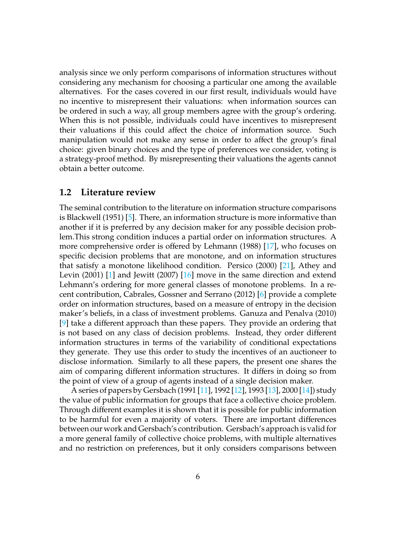analysis since we only perform comparisons of information structures without considering any mechanism for choosing a particular one among the available alternatives. For the cases covered in our first result, individuals would have no incentive to misrepresent their valuations: when information sources can be ordered in such a way, all group members agree with the group's ordering. When this is not possible, individuals could have incentives to misrepresent their valuations if this could affect the choice of information source. Such manipulation would not make any sense in order to affect the group's final choice: given binary choices and the type of preferences we consider, voting is a strategy-proof method. By misrepresenting their valuations the agents cannot obtain a better outcome.

#### **1.2 Literature review**

The seminal contribution to the literature on information structure comparisons is Blackwell (1951) [\[5\]](#page-35-0). There, an information structure is more informative than another if it is preferred by any decision maker for any possible decision problem.This strong condition induces a partial order on information structures. A more comprehensive order is offered by Lehmann (1988) [\[17\]](#page-36-0), who focuses on specific decision problems that are monotone, and on information structures that satisfy a monotone likelihood condition. Persico (2000) [\[21\]](#page-36-1), Athey and Levin (2001) [\[1\]](#page-35-1) and Jewitt (2007) [\[16\]](#page-36-2) move in the same direction and extend Lehmann's ordering for more general classes of monotone problems. In a recent contribution, Cabrales, Gossner and Serrano (2012) [\[6\]](#page-35-2) provide a complete order on information structures, based on a measure of entropy in the decision maker's beliefs, in a class of investment problems. Ganuza and Penalva (2010) [\[9\]](#page-36-3) take a different approach than these papers. They provide an ordering that is not based on any class of decision problems. Instead, they order different information structures in terms of the variability of conditional expectations they generate. They use this order to study the incentives of an auctioneer to disclose information. Similarly to all these papers, the present one shares the aim of comparing different information structures. It differs in doing so from the point of view of a group of agents instead of a single decision maker.

A series of papers by Gersbach (1991 [\[11\]](#page-36-4), 1992 [\[12\]](#page-36-5), 1993 [\[13\]](#page-36-6), 2000 [\[14\]](#page-36-7)) study the value of public information for groups that face a collective choice problem. Through different examples it is shown that it is possible for public information to be harmful for even a majority of voters. There are important differences between our work and Gersbach's contribution. Gersbach's approach is valid for a more general family of collective choice problems, with multiple alternatives and no restriction on preferences, but it only considers comparisons between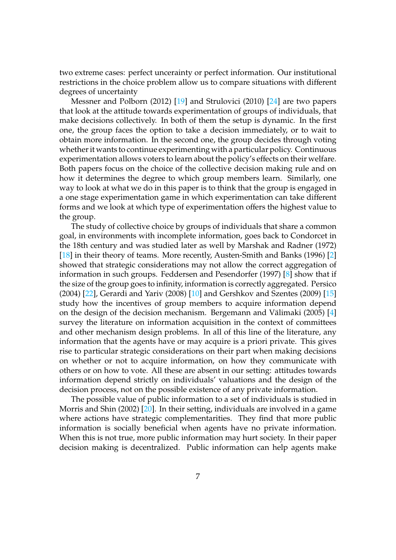two extreme cases: perfect uncerainty or perfect information. Our institutional restrictions in the choice problem allow us to compare situations with different degrees of uncertainty

Messner and Polborn (2012) [\[19\]](#page-36-8) and Strulovici (2010) [\[24\]](#page-37-0) are two papers that look at the attitude towards experimentation of groups of individuals, that make decisions collectively. In both of them the setup is dynamic. In the first one, the group faces the option to take a decision immediately, or to wait to obtain more information. In the second one, the group decides through voting whether it wants to continue experimenting with a particular policy. Continuous experimentation allows voters to learn about the policy's effects on their welfare. Both papers focus on the choice of the collective decision making rule and on how it determines the degree to which group members learn. Similarly, one way to look at what we do in this paper is to think that the group is engaged in a one stage experimentation game in which experimentation can take different forms and we look at which type of experimentation offers the highest value to the group.

The study of collective choice by groups of individuals that share a common goal, in environments with incomplete information, goes back to Condorcet in the 18th century and was studied later as well by Marshak and Radner (1972) [\[18\]](#page-36-9) in their theory of teams. More recently, Austen-Smith and Banks (1996) [\[2\]](#page-35-3) showed that strategic considerations may not allow the correct aggregation of information in such groups. Feddersen and Pesendorfer (1997) [\[8\]](#page-35-4) show that if the size of the group goes to infinity, information is correctly aggregated. Persico (2004) [\[22\]](#page-36-10), Gerardi and Yariv (2008) [\[10\]](#page-36-11) and Gershkov and Szentes (2009) [\[15\]](#page-36-12) study how the incentives of group members to acquire information depend on the design of the decision mechanism. Bergemann and Välimaki (2005)  $[4]$  $[4]$ survey the literature on information acquisition in the context of committees and other mechanism design problems. In all of this line of the literature, any information that the agents have or may acquire is a priori private. This gives rise to particular strategic considerations on their part when making decisions on whether or not to acquire information, on how they communicate with others or on how to vote. All these are absent in our setting: attitudes towards information depend strictly on individuals' valuations and the design of the decision process, not on the possible existence of any private information.

The possible value of public information to a set of individuals is studied in Morris and Shin (2002) [\[20\]](#page-36-13). In their setting, individuals are involved in a game where actions have strategic complementarities. They find that more public information is socially beneficial when agents have no private information. When this is not true, more public information may hurt society. In their paper decision making is decentralized. Public information can help agents make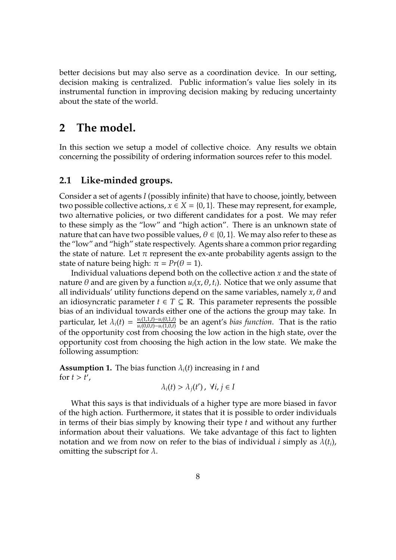better decisions but may also serve as a coordination device. In our setting, decision making is centralized. Public information's value lies solely in its instrumental function in improving decision making by reducing uncertainty about the state of the world.

## **2 The model.**

In this section we setup a model of collective choice. Any results we obtain concerning the possibility of ordering information sources refer to this model.

## **2.1 Like-minded groups.**

Consider a set of agents *I* (possibly infinite) that have to choose, jointly, between two possible collective actions,  $x \in X = \{0, 1\}$ . These may represent, for example, two alternative policies, or two different candidates for a post. We may refer to these simply as the "low" and "high action". There is an unknown state of nature that can have two possible values,  $\theta \in \{0, 1\}$ . We may also refer to these as the "low" and "high" state respectively. Agents share a common prior regarding the state of nature. Let  $\pi$  represent the ex-ante probability agents assign to the state of nature being high:  $\pi = Pr(\theta = 1)$ .

Individual valuations depend both on the collective action *x* and the state of nature  $\theta$  and are given by a function  $u_i(x, \theta, t_i)$ . Notice that we only assume that all individuals' utility functions depend on the same variables, namely *x*, θ and an idiosyncratic parameter  $t \in T \subseteq \mathbb{R}$ . This parameter represents the possible bias of an individual towards either one of the actions the group may take. In particular, let  $\lambda_i(t) = \frac{u_i(1,1,t)-u_i(0,1,t)}{u_i(0,0,t)-u_i(1,0,t)}$ *u*<sub>*i*</sub>(*n*,*t*,*i*)−*u<sub>i</sub>*(*n*,*t*,*l*)</sub> be an agent's *bias function*. That is the ratio of the opportunity cost from choosing the low action in the high state, over the opportunity cost from choosing the high action in the low state. We make the following assumption:

**Assumption 1.** The bias function  $\lambda_i(t)$  increasing in *t* and for  $t > t'$ ,

$$
\lambda_i(t) > \lambda_j(t'), \ \forall i, j \in I
$$

What this says is that individuals of a higher type are more biased in favor of the high action. Furthermore, it states that it is possible to order individuals in terms of their bias simply by knowing their type *t* and without any further information about their valuations. We take advantage of this fact to lighten notation and we from now on refer to the bias of individual *i* simply as  $\lambda(t_i)$ , omitting the subscript for  $\lambda$ .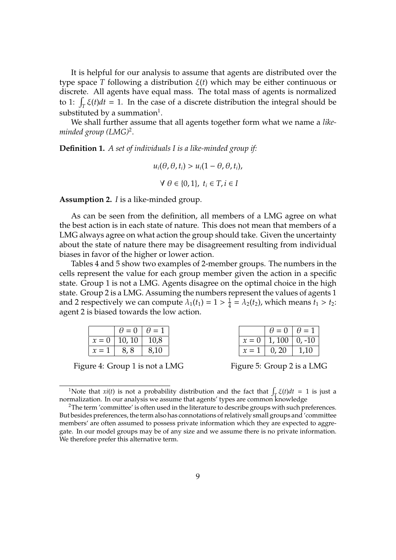It is helpful for our analysis to assume that agents are distributed over the type space *T* following a distribution ξ(*t*) which may be either continuous or discrete. All agents have equal mass. The total mass of agents is normalized to 1:  $\int_T \xi(t)dt = 1$ . In the case of a discrete distribution the integral should be substituted by a summation $^1.$  $^1.$  $^1.$ 

We shall further assume that all agents together form what we name a *likeminded group (LMG)*[2](#page-0-0) .

**Definition 1.** *A set of individuals I is a like-minded group if:*

$$
u_i(\theta, \theta, t_i) > u_i(1 - \theta, \theta, t_i),
$$
  

$$
\forall \theta \in \{0, 1\}, \ t_i \in T, i \in I
$$

**Assumption 2.** *I* is a like-minded group.

As can be seen from the definition, all members of a LMG agree on what the best action is in each state of nature. This does not mean that members of a LMG always agree on what action the group should take. Given the uncertainty about the state of nature there may be disagreement resulting from individual biases in favor of the higher or lower action.

Tables [4](#page-8-0) and [5](#page-8-1) show two examples of 2-member groups. The numbers in the cells represent the value for each group member given the action in a specific state. Group 1 is not a LMG. Agents disagree on the optimal choice in the high state. Group 2 is a LMG. Assuming the numbers represent the values of agents 1 and 2 respectively we can compute  $\lambda_1(t_1) = 1 > \frac{1}{4}$  $\frac{1}{4} = \lambda_2(t_2)$ , which means  $t_1 > t_2$ : agent 2 is biased towards the low action.

| $\theta = 0$   $\theta = 1$ |      |  | $\theta = 0$ $\theta = 1$ |      |
|-----------------------------|------|--|---------------------------|------|
| $x = 0$   10, 10   10,8     |      |  | $x = 0$   1, 100   0, -10 |      |
| $x = 1$ 8,8                 | 8,10 |  | $x = 1 \mid 0, 20 \mid$   | 1,10 |

<span id="page-8-0"></span>Figure 4: Group 1 is not a LMG

<span id="page-8-1"></span>Figure 5: Group 2 is a LMG

<sup>1</sup>Note that *xi*(*t*) is not a probability distribution and the fact that  $\int_{\mathcal{T}} \xi(t) dt = 1$  is just a normalization. In our analysis we assume that agents' types are common knowledge

<sup>&</sup>lt;sup>2</sup>The term 'committee' is often used in the literature to describe groups with such preferences. But besides preferences, the term also has connotations of relatively small groups and 'committee members' are often assumed to possess private information which they are expected to aggregate. In our model groups may be of any size and we assume there is no private information. We therefore prefer this alternative term.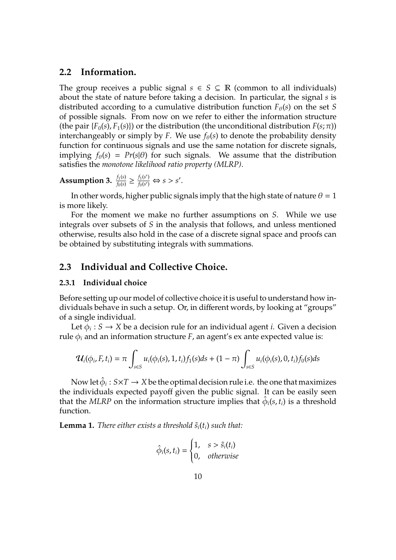## **2.2 Information.**

The group receives a public signal  $s \in S \subseteq \mathbb{R}$  (common to all individuals) about the state of nature before taking a decision. In particular, the signal *s* is distributed according to a cumulative distribution function  $F_{\theta}(s)$  on the set *S* of possible signals. From now on we refer to either the information structure (the pair  $\{F_0(s), F_1(s)\}$ ) or the distribution (the unconditional distribution  $F(s; \pi)$ ) interchangeably or simply by *F*. We use  $f_{\theta}(s)$  to denote the probability density function for continuous signals and use the same notation for discrete signals, implying  $f_{\theta}(s) = Pr(s|\theta)$  for such signals. We assume that the distribution satisfies the *monotone likelihood ratio property (MLRP)*.

**Assumption 3.**  $\frac{f_1(s)}{f_0(s)} \ge \frac{f_1(s')}{f_0(s')}$  $\frac{f_1(s')}{f_0(s')} \Leftrightarrow s > s'.$ 

In other words, higher public signals imply that the high state of nature  $\theta = 1$ is more likely.

For the moment we make no further assumptions on *S*. While we use integrals over subsets of *S* in the analysis that follows, and unless mentioned otherwise, results also hold in the case of a discrete signal space and proofs can be obtained by substituting integrals with summations.

## **2.3 Individual and Collective Choice.**

#### **2.3.1 Individual choice**

Before setting up our model of collective choice it is useful to understand how individuals behave in such a setup. Or, in different words, by looking at "groups" of a single individual.

Let  $\phi_i : S \to X$  be a decision rule for an individual agent *i*. Given a decision rule  $φ<sub>i</sub>$  and an information structure *F*, an agent's ex ante expected value is:

$$
u_i(\phi_i, F, t_i) = \pi \int_{s \in S} u_i(\phi_i(s), 1, t_i) f_1(s) ds + (1 - \pi) \int_{s \in S} u_i(\phi_i(s), 0, t_i) f_0(s) ds
$$

Now let  $\hat{\phi}_i: S \times T \to X$  be the optimal decision rule i.e. the one that maximizes the individuals expected payoff given the public signal. It can be easily seen that the MLRP on the information structure implies that  $\hat{\phi}_i(s, t_i)$  is a threshold function.

<span id="page-9-0"></span>**Lemma 1.** *There either exists a threshold*  $\tilde{s}_i(t_i)$  *such that:* 

$$
\hat{\phi}_i(s, t_i) = \begin{cases} 1, & s > \tilde{s}_i(t_i) \\ 0, & otherwise \end{cases}
$$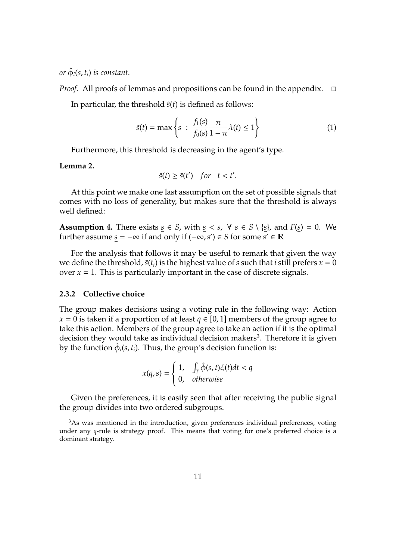$or$   $\hat{\phi}_i(s,t_i)$  is constant.

*Proof.* All proofs of lemmas and propositions can be found in the appendix.  $\Box$ 

In particular, the threshold  $\tilde{s}(t)$  is defined as follows:

<span id="page-10-0"></span>
$$
\tilde{s}(t) = \max\left\{s \; : \; \frac{f_1(s)}{f_0(s)} \frac{\pi}{1 - \pi} \lambda(t) \le 1\right\} \tag{1}
$$

Furthermore, this threshold is decreasing in the agent's type.

#### <span id="page-10-1"></span>**Lemma 2.**

$$
\tilde{s}(t) \ge \tilde{s}(t') \quad \text{for} \quad t < t'.
$$

At this point we make one last assumption on the set of possible signals that comes with no loss of generality, but makes sure that the threshold is always well defined:

**Assumption 4.** There exists  $s \in S$ , with  $s \in s$ ,  $\forall s \in S \setminus \{s\}$ , and  $F(s) = 0$ . We further assume  $\underline{s} = -\infty$  if and only if  $(-\infty, s') \in S$  for some  $s' \in \mathbb{R}$ 

For the analysis that follows it may be useful to remark that given the way we define the threshold,  $\tilde{s}(t_i)$  is the highest value of *s* such that *i* still prefers  $x = 0$ over  $x = 1$ . This is particularly important in the case of discrete signals.

#### **2.3.2 Collective choice**

The group makes decisions using a voting rule in the following way: Action  $x = 0$  is taken if a proportion of at least  $q \in [0, 1]$  members of the group agree to take this action. Members of the group agree to take an action if it is the optimal decision they would take as individual decision makers<sup>[3](#page-0-0)</sup>. Therefore it is given by the function  $\hat{\phi}_i$ ( $s$ , $t_i$ ). Thus, the group's decision function is:

$$
x(q,s) = \begin{cases} 1, & \int_T \hat{\phi}(s,t)\xi(t)dt < q \\ 0, & \text{otherwise} \end{cases}
$$

Given the preferences, it is easily seen that after receiving the public signal the group divides into two ordered subgroups.

<sup>&</sup>lt;sup>3</sup>As was mentioned in the introduction, given preferences individual preferences, voting under any *q*-rule is strategy proof. This means that voting for one's preferred choice is a dominant strategy.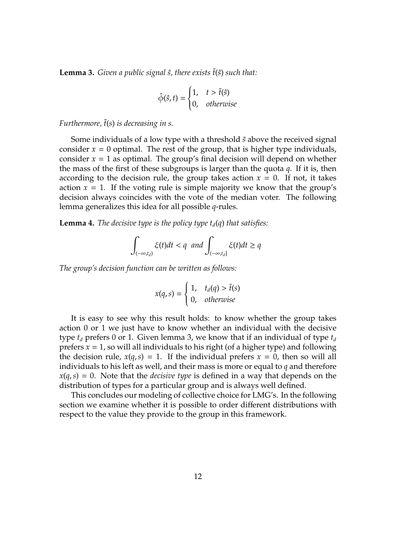<span id="page-11-0"></span>**Lemma 3.** *Given a public signal*  $\hat{s}$ *, there exists*  $\tilde{t}(\hat{s})$  *such that:* 

$$
\hat{\phi}(\hat{s}, t) = \begin{cases} 1, & t > \tilde{t}(\hat{s}) \\ 0, & \text{otherwise} \end{cases}
$$

*Furthermore,* ˜*t*(*s*) *is decreasing in s.*

Some individuals of a low type with a threshold  $\tilde{s}$  above the received signal consider  $x = 0$  optimal. The rest of the group, that is higher type individuals, consider  $x = 1$  as optimal. The group's final decision will depend on whether the mass of the first of these subgroups is larger than the quota *q*. If it is, then according to the decision rule, the group takes action  $x = 0$ . If not, it takes action  $x = 1$ . If the voting rule is simple majority we know that the group's decision always coincides with the vote of the median voter. The following lemma generalizes this idea for all possible *q*-rules.

**Lemma 4.** *The decisive type is the policy type*  $t_d(q)$  *that satisfies:* 

$$
\int_{(-\infty,t_d)} \xi(t)dt < q \text{ and } \int_{(-\infty,t_d]} \xi(t)dt \ge q
$$

*The group's decision function can be written as follows:*

$$
x(q,s) = \begin{cases} 1, & t_d(q) > \tilde{t}(s) \\ 0, & \text{otherwise} \end{cases}
$$

It is easy to see why this result holds: to know whether the group takes action 0 or 1 we just have to know whether an individual with the decisive type  $t_d$  prefers 0 or 1. Given lemma [3,](#page-11-0) we know that if an individual of type  $t_d$ prefers  $x = 1$ , so will all individuals to his right (of a higher type) and following the decision rule,  $x(q, s) = 1$ . If the individual prefers  $x = 0$ , then so will all individuals to his left as well, and their mass is more or equal to *q* and therefore  $x(q, s) = 0$ . Note that the *decisive type* is defined in a way that depends on the distribution of types for a particular group and is always well defined.

This concludes our modeling of collective choice for LMG's. In the following section we examine whether it is possible to order different distributions with respect to the value they provide to the group in this framework.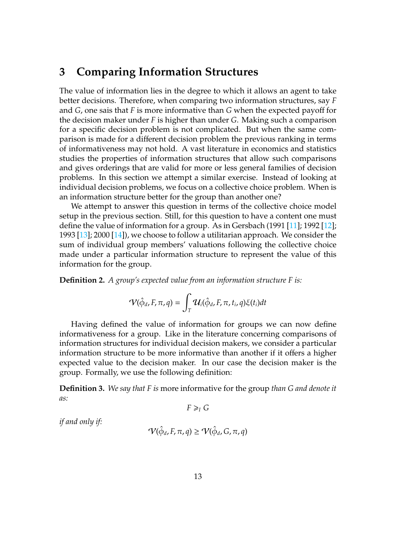## **3 Comparing Information Structures**

The value of information lies in the degree to which it allows an agent to take better decisions. Therefore, when comparing two information structures, say *F* and *G*, one sais that *F* is more informative than *G* when the expected payoff for the decision maker under *F* is higher than under *G*. Making such a comparison for a specific decision problem is not complicated. But when the same comparison is made for a different decision problem the previous ranking in terms of informativeness may not hold. A vast literature in economics and statistics studies the properties of information structures that allow such comparisons and gives orderings that are valid for more or less general families of decision problems. In this section we attempt a similar exercise. Instead of looking at individual decision problems, we focus on a collective choice problem. When is an information structure better for the group than another one?

We attempt to answer this question in terms of the collective choice model setup in the previous section. Still, for this question to have a content one must define the value of information for a group. As in Gersbach (1991 [\[11\]](#page-36-4); 1992 [\[12\]](#page-36-5); 1993 [\[13\]](#page-36-6); 2000 [\[14\]](#page-36-7)), we choose to follow a utilitarian approach. We consider the sum of individual group members' valuations following the collective choice made under a particular information structure to represent the value of this information for the group.

**Definition 2.** *A group's expected value from an information structure F is:*

$$
\mathcal{V}(\hat{\phi}_d, F, \pi, q) = \int_T \mathcal{U}_i(\hat{\phi}_d, F, \pi, t_i, q) \xi(t_i) dt
$$

Having defined the value of information for groups we can now define informativeness for a group. Like in the literature concerning comparisons of information structures for individual decision makers, we consider a particular information structure to be more informative than another if it offers a higher expected value to the decision maker. In our case the decision maker is the group. Formally, we use the following definition:

**Definition 3.** *We say that F is* more informative for the group *than G and denote it as:*

$$
F \geq_I G
$$

*if and only if:*

$$
\mathcal{V}(\hat{\phi}_d, F, \pi, q) \geq \mathcal{V}(\hat{\phi}_d, G, \pi, q)
$$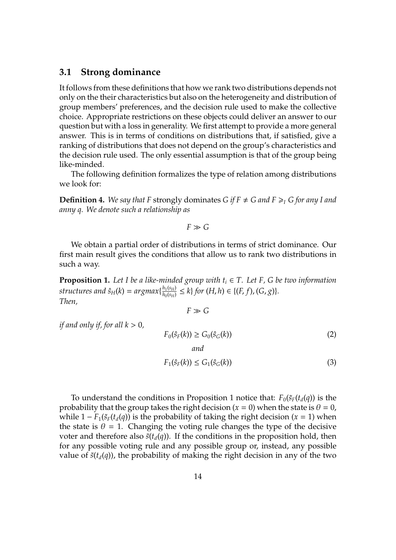### **3.1 Strong dominance**

It follows from these definitions that how we rank two distributions depends not only on the their characteristics but also on the heterogeneity and distribution of group members' preferences, and the decision rule used to make the collective choice. Appropriate restrictions on these objects could deliver an answer to our question but with a loss in generality. We first attempt to provide a more general answer. This is in terms of conditions on distributions that, if satisfied, give a ranking of distributions that does not depend on the group's characteristics and the decision rule used. The only essential assumption is that of the group being like-minded.

The following definition formalizes the type of relation among distributions we look for:

**Definition 4.** We say that F strongly dominates *G* if  $F \neq G$  and  $F \geq I$  *G* for any I and *anny q. We denote such a relationship as*

 $F \gg G$ 

We obtain a partial order of distributions in terms of strict dominance. Our first main result gives the conditions that allow us to rank two distributions in such a way.

<span id="page-13-0"></span>**Proposition 1.** Let I be a like-minded group with  $t_i \in T$ . Let F, G be two information  $structures$  and  $\hat{s}_{H}(k) = argmax\{\frac{h_1(s_H)}{h_0(s_H)}\}$  $\frac{h_1(s_H)}{h_0(s_H)} \le k$  *for*  $(H, h) \in \{(F, f), (G, g)\}.$ *Then,*

 $F \gg G$ 

*if and only if, for all*  $k > 0$ *,* 

<span id="page-13-2"></span><span id="page-13-1"></span>
$$
F_0(\hat{s}_F(k)) \ge G_0(\hat{s}_G(k))
$$
\n
$$
and
$$
\n
$$
F_1(\hat{s}_F(k)) \le G_1(\hat{s}_G(k))
$$
\n(3)

To understand the conditions in Proposition [1](#page-13-0) notice that:  $F_0(\tilde{s}_F(t_d(q)))$  is the probability that the group takes the right decision ( $x = 0$ ) when the state is  $\theta = 0$ , while  $1 - F_1(\tilde{s}_F(t_d(q))$  is the probability of taking the right decision ( $x = 1$ ) when the state is  $\theta = 1$ . Changing the voting rule changes the type of the decisive voter and therefore also  $\tilde{s}(t_d(q))$ . If the conditions in the proposition hold, then for any possible voting rule and any possible group or, instead, any possible value of  $\tilde{s}(t_d(q))$ , the probability of making the right decision in any of the two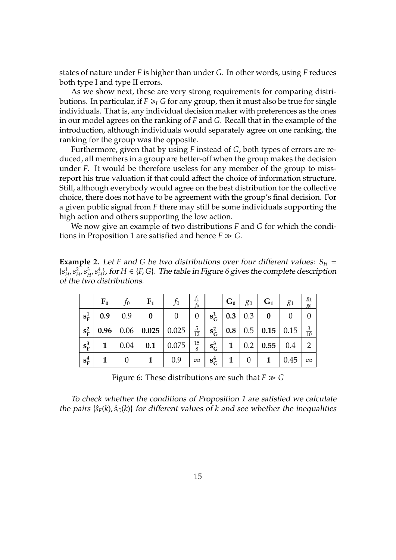states of nature under *F* is higher than under *G*. In other words, using *F* reduces both type I and type II errors.

As we show next, these are very strong requirements for comparing distributions. In particular, if  $F \geq I$  *G* for any group, then it must also be true for single individuals. That is, any individual decision maker with preferences as the ones in our model agrees on the ranking of *F* and *G*. Recall that in the example of the introduction, although individuals would separately agree on one ranking, the ranking for the group was the opposite.

Furthermore, given that by using *F* instead of *G*, both types of errors are reduced, all members in a group are better-off when the group makes the decision under *F*. It would be therefore useless for any member of the group to missreport his true valuation if that could affect the choice of information structure. Still, although everybody would agree on the best distribution for the collective choice, there does not have to be agreement with the group's final decision. For a given public signal from *F* there may still be some individuals supporting the high action and others supporting the low action.

We now give an example of two distributions *F* and *G* for which the condi-tions in Proposition [1](#page-13-0) are satisfied and hence  $F \gg G$ .

**Example 2.** Let *F* and *G* be two distributions over four different values:  $S_H$  =  $\{s^1_\mu\}$  $\frac{1}{H}$ ,  $s_F^2$  $^2_H$ ,  $s^3_H$  $_{H'}^3s^4_H$  $H^4_H$ , for  $H \in \{F,G\}$ . The table in Figure [6](#page-14-0) gives the complete description of the two distributions.

|         | $F_0$ | $f_0$    | $\mathbf{F_1}$ | $f_0$                                                                                                                                     | $rac{f_1}{f_0}$ |                               | $\mid$ G <sub>0</sub> $\mid$ g <sub>0</sub> $\mid$ |                | $\in G_1$ .    | $g_1$                                                 | $\frac{g_1}{g_0}$ |
|---------|-------|----------|----------------|-------------------------------------------------------------------------------------------------------------------------------------------|-----------------|-------------------------------|----------------------------------------------------|----------------|----------------|-------------------------------------------------------|-------------------|
| $s_F^1$ | 0.9   | 0.9      | $\bf{0}$       | $\overline{0}$                                                                                                                            | $\theta$        |                               | $\mathbf{s}_{\mathsf{G}}^1$   0.3   0.3            |                | $\bf{0}$       |                                                       |                   |
| $s_F^2$ |       |          |                | $\begin{array}{ c c c c c c } \hline \textbf{0.96} & \textbf{0.06} & \textbf{0.025} & \textbf{0.025} & \frac{5}{12} \ \hline \end{array}$ |                 |                               |                                                    |                |                | $\mathbf{s}_{\mathbf{G}}^2$   0.8   0.5   0.15   0.15 | $rac{3}{10}$      |
| $s_F^3$ |       |          |                | 1   $0.04$   <b>0.1</b>   0.075                                                                                                           | $\frac{15}{8}$  | $\mathbf{s}_{\mathrm{G}}^{3}$ |                                                    |                | 1   0.2   0.55 | $\vert 0.4 \vert$                                     | 2                 |
| $s_F^4$ |       | $\theta$ | 1              | 0.9                                                                                                                                       | $\infty$        | $\mathbf{s}_{\mathsf{G}}^4$   | $\mathbf{1}$                                       | $\overline{0}$ | $\mathbf{1}$   | 0.45                                                  | $\infty$          |

<span id="page-14-0"></span>Figure 6: These distributions are such that  $F \gg G$ 

To check whether the conditions of Proposition [1](#page-13-0) are satisfied we calculate the pairs  $\{\hat{s}_F(k), \hat{s}_G(k)\}$  for different values of *k* and see whether the inequalities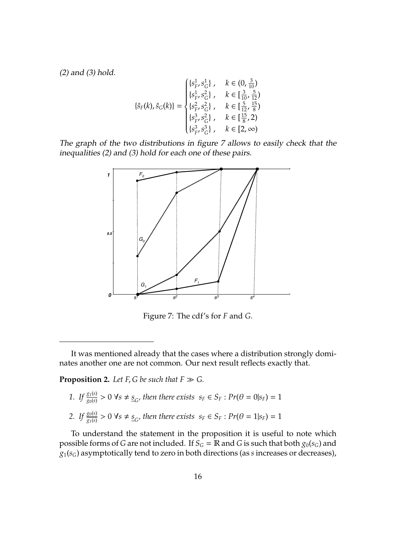[\(2\)](#page-13-1) and [\(3\)](#page-13-2) hold.

$$
\{\hat{s}_F(k), \hat{s}_G(k)\} = \begin{cases} \{s_F^1, s_G^1\} \ , \quad \ k \in \left(0, \frac{3}{10}\right) \\ \{s_F^1, s_G^2\} \ , \quad \ k \in \left[\frac{3}{10}, \frac{5}{12}\right) \\ \{s_F^2, s_G^2\} \ , \quad \ k \in \left[\frac{5}{12}, \frac{15}{8}\right) \\ \{s_F^3, s_G^2\} \ , \quad \ k \in \left[\frac{15}{8}, 2\right) \\ \{s_F^3, s_G^3\} \ , \quad \ k \in \left[2, \infty\right) \end{cases}
$$

The graph of the two distributions in figure [7](#page-15-0) allows to easily check that the inequalities [\(2\)](#page-13-1) and [\(3\)](#page-13-2) hold for each one of these pairs.



<span id="page-15-0"></span>Figure 7: The cdf's for *F* and *G*.

It was mentioned already that the cases where a distribution strongly dominates another one are not common. Our next result reflects exactly that.

<span id="page-15-1"></span>**Proposition 2.** Let  $F$ ,  $G$  be such that  $F \gg G$ .

- *1. If*  $\frac{g_1(s)}{g_0(s)} > 0$   $\forall s \neq s$ <sub>*G*</sub>, then there exists  $s_F \in S_F : Pr(\theta = 0|s_F) = 1$
- *2. If*  $\frac{g_0(s)}{g_1(s)} > 0$   $\forall s \neq s_G$ , then there exists  $s_F \in S_F : Pr(\theta = 1 | s_F) = 1$

To understand the statement in the proposition it is useful to note which possible forms of *G* are not included. If  $S_G = \mathbb{R}$  and *G* is such that both  $g_0(s_G)$  and *g*1(*sG*) asymptotically tend to zero in both directions (as *s* increases or decreases),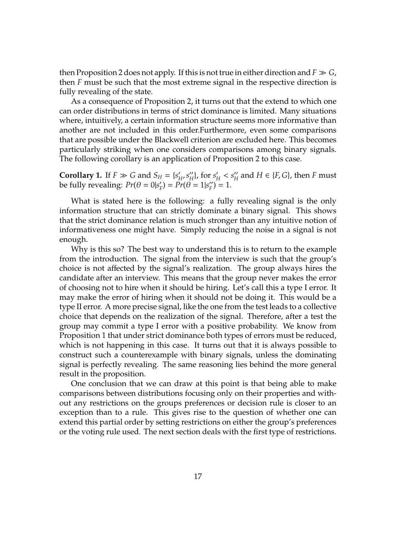then Proposition [2](#page-15-1) does not apply. If this is not true in either direction and  $F \gg G$ , then *F* must be such that the most extreme signal in the respective direction is fully revealing of the state.

As a consequence of Proposition [2,](#page-15-1) it turns out that the extend to which one can order distributions in terms of strict dominance is limited. Many situations where, intuitively, a certain information structure seems more informative than another are not included in this order.Furthermore, even some comparisons that are possible under the Blackwell criterion are excluded here. This becomes particularly striking when one considers comparisons among binary signals. The following corollary is an application of Proposition [2](#page-15-1) to this case.

**Corollary 1.** If  $F \gg G$  and  $S_H = \{s'_h\}$ ,<br>*H*<sup>, S</sup>H  $H$ , for  $s'_H < s''_H$  $H'_H$  and  $H \in \{F, G\}$ , then  $F$  must be fully revealing:  $Pr(\theta = 0 | s)$  $F_F$ ) =  $\Pr^{-1}(\hat{\theta} = 1 | s_F^{\prime\prime})$  $'_{F}$ ) = 1.

What is stated here is the following: a fully revealing signal is the only information structure that can strictly dominate a binary signal. This shows that the strict dominance relation is much stronger than any intuitive notion of informativeness one might have. Simply reducing the noise in a signal is not enough.

Why is this so? The best way to understand this is to return to the example from the introduction. The signal from the interview is such that the group's choice is not affected by the signal's realization. The group always hires the candidate after an interview. This means that the group never makes the error of choosing not to hire when it should be hiring. Let's call this a type I error. It may make the error of hiring when it should not be doing it. This would be a type II error. A more precise signal, like the one from the test leads to a collective choice that depends on the realization of the signal. Therefore, after a test the group may commit a type I error with a positive probability. We know from Proposition [1](#page-13-0) that under strict dominance both types of errors must be reduced, which is not happening in this case. It turns out that it is always possible to construct such a counterexample with binary signals, unless the dominating signal is perfectly revealing. The same reasoning lies behind the more general result in the proposition.

One conclusion that we can draw at this point is that being able to make comparisons between distributions focusing only on their properties and without any restrictions on the groups preferences or decision rule is closer to an exception than to a rule. This gives rise to the question of whether one can extend this partial order by setting restrictions on either the group's preferences or the voting rule used. The next section deals with the first type of restrictions.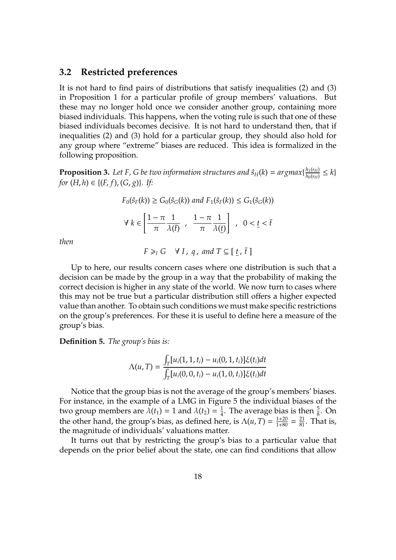### **3.2 Restricted preferences**

It is not hard to find pairs of distributions that satisfy inequalities [\(2\)](#page-13-1) and [\(3\)](#page-13-2) in Proposition [1](#page-13-0) for a particular profile of group members' valuations. But these may no longer hold once we consider another group, containing more biased individuals. This happens, when the voting rule is such that one of these biased individuals becomes decisive. It is not hard to understand then, that if inequalities [\(2\)](#page-13-1) and [\(3\)](#page-13-2) hold for a particular group, they should also hold for any group where "extreme" biases are reduced. This idea is formalized in the following proposition.

<span id="page-17-0"></span>**Proposition 3.** Let F, G be two information structures and  $\hat{s}_H(k) = argmax\{\frac{h_1(s_H)}{h_0(s_H)}\}$  $\frac{h_1(s_H)}{h_0(s_H)} \leq k$ *for*  $(H, h) \in \{(F, f), (G, g)\}.$  *If:* 

$$
F_0(\hat{s}_F(k)) \ge G_0(\hat{s}_G(k)) \text{ and } F_1(\hat{s}_F(k)) \le G_1(\hat{s}_G(k))
$$
  

$$
\forall k \in \left[\frac{1-\pi}{\pi} \frac{1}{\lambda(\bar{t})}, \frac{1-\pi}{\pi} \frac{1}{\lambda(\underline{t})}\right], \quad 0 < \underline{t} < \bar{t}
$$

*then*

 $F \geq I$  *G*  $\forall I$ , *q*, and  $T \subseteq [\underline{t}, \overline{t}]$ Up to here, our results concern cases where one distribution is such that a

decision can be made by the group in a way that the probability of making the correct decision is higher in any state of the world. We now turn to cases where this may not be true but a particular distribution still offers a higher expected value than another. To obtain such conditions we must make specific restrictions on the group's preferences. For these it is useful to define here a measure of the group's bias.

**Definition 5.** *The group's bias is:*

$$
\Lambda(u,T) = \frac{\int_T [u_i(1,1,t_i) - u_i(0,1,t_i)] \xi(t_i) dt}{\int_T [u_i(0,0,t_i) - u_i(1,0,t_i)] \xi(t_i) dt}
$$

Notice that the group bias is not the average of the group's members' biases. For instance, in the example of a LMG in Figure [5](#page-8-1) the individual biases of the two group members are  $\lambda(t_1) = 1$  and  $\lambda(t_2) = \frac{1}{4}$  $\frac{1}{4}$ . The average bias is then  $\frac{5}{8}$ . On the other hand, the group's bias, as defined here, is  $\Lambda(u, T) = \frac{1+20}{1+80} = \frac{21}{81}$ . That is, the magnitude of individuals' valuations matter.

It turns out that by restricting the group's bias to a particular value that depends on the prior belief about the state, one can find conditions that allow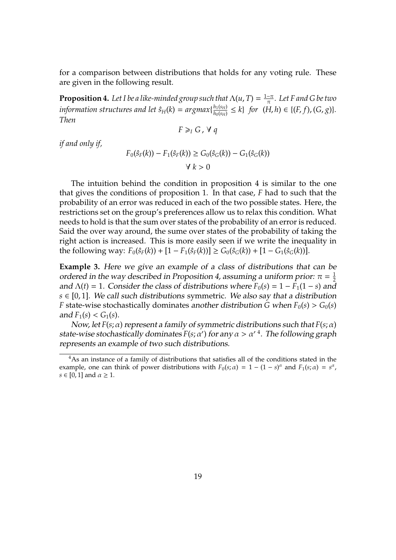for a comparison between distributions that holds for any voting rule. These are given in the following result.

<span id="page-18-0"></span>**Proposition 4.** Let I be a like-minded group such that  $\Lambda(u, T) = \frac{1-\pi}{\pi}$ . Let F and G be two *information structures and let*  $\hat{s}_H(k) = argmax\{\frac{h_1(s_H)}{h_0(s_H)} \le k\}$  for (*H*)  $\frac{h_1(s_H)}{h_0(s_H)} \leq k$  *for*  $(H, h) \in \{(F, f), (G, g)\}.$ *Then*

$$
F \geq I G, \forall q
$$

*if and only if,*

$$
F_0(\hat{s}_F(k)) - F_1(\hat{s}_F(k)) \ge G_0(\hat{s}_G(k)) - G_1(\hat{s}_G(k))
$$
  

$$
\forall k > 0
$$

The intuition behind the condition in proposition [4](#page-18-0) is similar to the one that gives the conditions of proposition [1.](#page-13-0) In that case, *F* had to such that the probability of an error was reduced in each of the two possible states. Here, the restrictions set on the group's preferences allow us to relax this condition. What needs to hold is that the sum over states of the probability of an error is reduced. Said the over way around, the sume over states of the probability of taking the right action is increased. This is more easily seen if we write the inequality in the following way:  $F_0(\hat{s}_F(k)) + [1 - F_1(\hat{s}_F(k))] \ge G_0(\hat{s}_G(k)) + [1 - G_1(\hat{s}_G(k))].$ 

<span id="page-18-1"></span>**Example 3.** Here we give an example of a class of distributions that can be ordered in the way described in Proposition [4,](#page-18-0) assuming a uniform prior:  $π = \frac{1}{2}$ 2 and  $\Lambda(t) = 1$ . Consider the class of distributions where  $F_0(s) = 1 - F_1(1 - s)$  and  $s \in [0, 1]$ . We call such distributions symmetric. We also say that a distribution *F* state-wise stochastically dominates another distribution *G* when  $F_0(s) > G_0(s)$ and  $F_1(s) < G_1(s)$ .

Now, let *F*(*s*; α) represent a family of symmetric distributions such that *F*(*s*; α) state-wise stochastically dominates  $F(s; \alpha')$  for any  $\alpha > \alpha'$  <sup>[4](#page-0-0)</sup>. The following graph represents an example of two such distributions.

<sup>&</sup>lt;sup>4</sup>As an instance of a family of distributions that satisfies all of the conditions stated in the example, one can think of power distributions with  $F_0(s; \alpha) = 1 - (1 - s)^{\alpha}$  and  $F_1(s; \alpha) = s^{\alpha}$ ,  $s \in [0, 1]$  and  $\alpha \geq 1$ .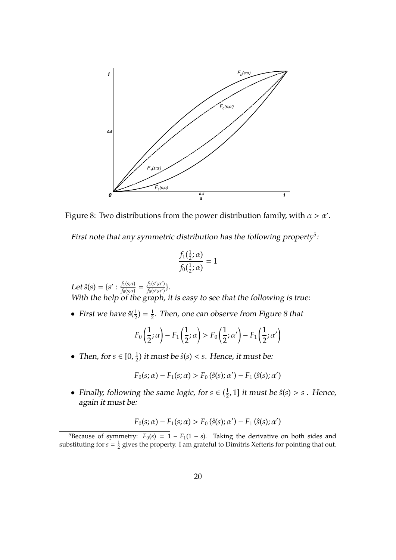

<span id="page-19-0"></span>Figure 8: Two distributions from the power distribution family, with  $\alpha > \alpha'$ .

First note that any symmetric distribution has the following property<sup>[5](#page-0-0)</sup>.

$$
\frac{f_1(\frac{1}{2};\alpha)}{f_0(\frac{1}{2};\alpha)} = 1
$$

Let  $\hat{s}(s) = \{s' : \frac{f_1(s; \alpha)}{f_0(s; \alpha)}\}$  $\frac{f_1(s;\alpha)}{f_0(s;\alpha)} = \frac{f_1(s';\alpha')}{f_0(s';\alpha')}$  $\frac{f_1(s';\alpha')}{f_0(s';\alpha')} \}.$ With the help of the graph, it is easy to see that the following is true:

• First we have  $\hat{s}(\frac{1}{2})$  $(\frac{1}{2}) = \frac{1}{2}$  $\frac{1}{2}$ . Then, one can observe from Figure [8](#page-19-0) that

$$
F_0\left(\frac{1}{2};\alpha\right) - F_1\left(\frac{1}{2};\alpha\right) > F_0\left(\frac{1}{2};\alpha'\right) - F_1\left(\frac{1}{2};\alpha'\right)
$$

• Then, for  $s \in [0, \frac{1}{2}]$  $\frac{1}{2}$ ) it must be  $\hat{s}(s) < s$ . Hence, it must be:

$$
F_0(s; \alpha) - F_1(s; \alpha) > F_0(\hat{s}(s); \alpha') - F_1(\hat{s}(s); \alpha')
$$

• Finally, following the same logic, for  $s \in (\frac{1}{2})$  $\frac{1}{2}$ , 1] it must be  $\hat{s}(s) > s$  . Hence, again it must be:

$$
F_0(s; \alpha) - F_1(s; \alpha) > F_0(\hat{s}(s); \alpha') - F_1(\hat{s}(s); \alpha')
$$

<sup>&</sup>lt;sup>5</sup>Because of symmetry:  $F_0(s) = 1 - F_1(1 - s)$ . Taking the derivative on both sides and substituting for  $s = \frac{1}{2}$  gives the property. I am grateful to Dimitris Xefteris for pointing that out.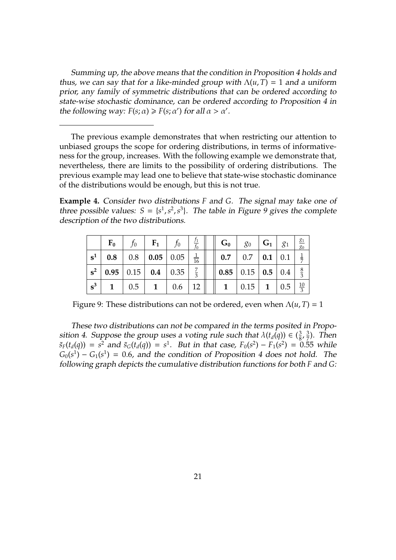Summing up, the above means that the condition in Proposition [4](#page-18-0) holds and thus, we can say that for a like-minded group with  $\Lambda(u, T) = 1$  and a uniform prior, any family of symmetric distributions that can be ordered according to state-wise stochastic dominance, can be ordered according to Proposition [4](#page-18-0) in the following way:  $F(s; \alpha) \geq F(s; \alpha')$  for all  $\alpha > \alpha'$ .

The previous example demonstrates that when restricting our attention to unbiased groups the scope for ordering distributions, in terms of informativeness for the group, increases. With the following example we demonstrate that, nevertheless, there are limits to the possibility of ordering distributions. The previous example may lead one to believe that state-wise stochastic dominance of the distributions would be enough, but this is not true.

**Example 4.** Consider two distributions *F* and *G*. The signal may take one of three possible values:  $S = \{s^1, s^2, s^3\}$ . The table in Figure [9](#page-20-0) gives the complete description of the two distributions.

|                | $F_0$                                                      | $f_0$ | $F_1$                                 |                | $G_0$                                                                         | $g_0$   $G_1$                       |  | 81 |
|----------------|------------------------------------------------------------|-------|---------------------------------------|----------------|-------------------------------------------------------------------------------|-------------------------------------|--|----|
| $\mathbf{s}^1$ |                                                            |       | <b>0.8</b>   0.8   <b>0.05</b>   0.05 | $\frac{1}{16}$ |                                                                               | <b>0.7</b>   0.7   <b>0.1</b>   0.1 |  |    |
| $s^2$          | $\vert$ 0.95 $\vert$ 0.15 $\vert$ 0.4 $\vert$ 0.35 $\vert$ |       |                                       |                | $\parallel$ 0.85 $\parallel$ 0.15 $\parallel$ 0.5 $\parallel$ 0.4 $\parallel$ |                                     |  |    |
| $\mathbf{s}^3$ |                                                            |       | $1 \mid 0.5 \mid 1 \mid 0.6 \mid 12$  |                | $\parallel$ 1   0.15   1   0.5                                                |                                     |  |    |

<span id="page-20-0"></span>Figure 9: These distributions can not be ordered, even when  $\Lambda(u, T) = 1$ 

These two distributions can not be compared in the terms posited in Propo-sition [4.](#page-18-0) Suppose the group uses a voting rule such that  $\lambda(t_d(q)) \in \left(\frac{3}{8}\right)$  $\frac{3}{8}$ ,  $\frac{3}{7}$  $\frac{3}{7}$ ). Then  $\tilde{s}_F(t_d(q)) = s^2$  and  $\tilde{s}_G(t_d(q)) = s^1$ . But in that case,  $F_0(s^2) - F_1(s^2) = 0.55$  while  $G_0(s^1) - G_1(s^1) = 0.6$ , and the condition of Proposition [4](#page-18-0) does not hold. The following graph depicts the cumulative distribution functions for both *F* and *G*: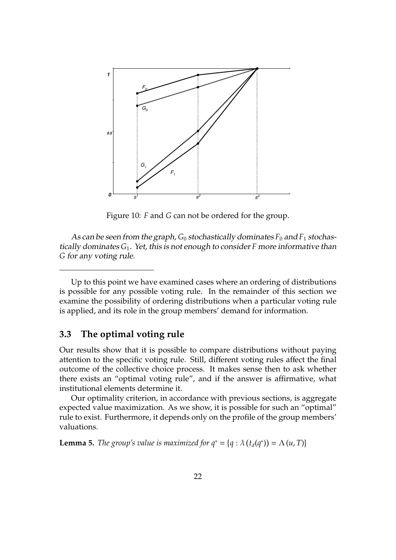

Figure 10: *F* and *G* can not be ordered for the group.

As can be seen from the graph,  $G_0$  stochastically dominates  $F_0$  and  $F_1$  stochastically dominates *G*1. Yet, this is not enough to consider *F* more informative than *G* for any voting rule.

Up to this point we have examined cases where an ordering of distributions is possible for any possible voting rule. In the remainder of this section we examine the possibility of ordering distributions when a particular voting rule is applied, and its role in the group members' demand for information.

## **3.3 The optimal voting rule**

Our results show that it is possible to compare distributions without paying attention to the specific voting rule. Still, different voting rules affect the final outcome of the collective choice process. It makes sense then to ask whether there exists an "optimal voting rule", and if the answer is affirmative, what institutional elements determine it.

Our optimality criterion, in accordance with previous sections, is aggregate expected value maximization. As we show, it is possible for such an "optimal" rule to exist. Furthermore, it depends only on the profile of the group members' valuations.

<span id="page-21-0"></span>**Lemma 5.** *The group's value is maximized for*  $q^* = \{q : \lambda(t_d(q^*)) = \Lambda(u, T)\}$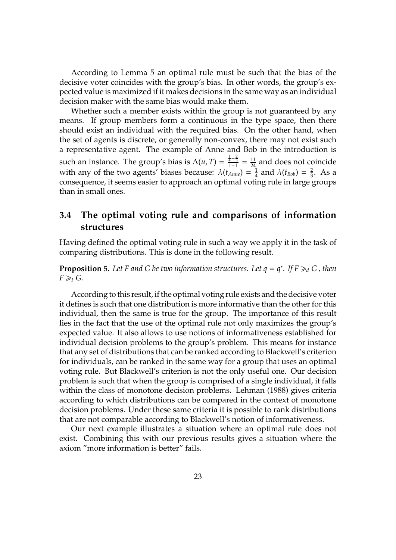According to Lemma [5](#page-21-0) an optimal rule must be such that the bias of the decisive voter coincides with the group's bias. In other words, the group's expected value is maximized if it makes decisions in the same way as an individual decision maker with the same bias would make them.

Whether such a member exists within the group is not guaranteed by any means. If group members form a continuous in the type space, then there should exist an individual with the required bias. On the other hand, when the set of agents is discrete, or generally non-convex, there may not exist such a representative agent. The example of Anne and Bob in the introduction is such an instance. The group's bias is  $\Lambda(u, T) = \frac{\frac{1}{4} + \frac{2}{3}}{1+1} = \frac{11}{24}$  and does not coincide with any of the two agents' biases because:  $\lambda(t_{Anne}) = \frac{1}{4}$  $\frac{1}{4}$  and  $\lambda(t_{Bob}) = \frac{2}{3}$  $\frac{2}{3}$ . As a consequence, it seems easier to approach an optimal voting rule in large groups than in small ones.

## **3.4 The optimal voting rule and comparisons of information structures**

Having defined the optimal voting rule in such a way we apply it in the task of comparing distributions. This is done in the following result.

<span id="page-22-0"></span>**Proposition 5.** Let F and G be two information structures. Let  $q = q^*$ . If  $F \geq_d G$ , then  $F \geqslant_I G$ .

According to this result, if the optimal voting rule exists and the decisive voter it defines is such that one distribution is more informative than the other for this individual, then the same is true for the group. The importance of this result lies in the fact that the use of the optimal rule not only maximizes the group's expected value. It also allows to use notions of informativeness established for individual decision problems to the group's problem. This means for instance that any set of distributions that can be ranked according to Blackwell's criterion for individuals, can be ranked in the same way for a group that uses an optimal voting rule. But Blackwell's criterion is not the only useful one. Our decision problem is such that when the group is comprised of a single individual, it falls within the class of monotone decision problems. Lehman (1988) gives criteria according to which distributions can be compared in the context of monotone decision problems. Under these same criteria it is possible to rank distributions that are not comparable according to Blackwell's notion of informativeness.

Our next example illustrates a situation where an optimal rule does not exist. Combining this with our previous results gives a situation where the axiom "more information is better" fails.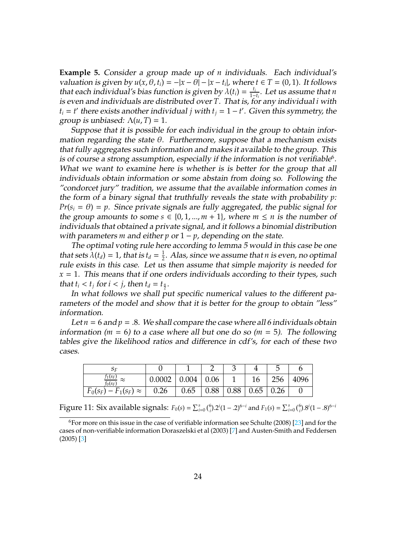**Example 5.** Consider a group made up of *n* individuals. Each individual's *valuation is given by*  $u(x, \theta, t_i) = -|x - \theta| - |x - t_i|$ , where  $t \in T = (0, 1)$ . It follows that each individual's bias function is given by  $\lambda(t_i) = \frac{t_i}{1-t_i}$ . Let us assume that *n* is even and individuals are distributed over *T*. That is, for any individual *i* with  $t_i = t'$  there exists another individual *j* with  $t_j = 1 - t'$ . Given this symmetry, the group is unbiased:  $\Lambda(u, T) = 1$ .

Suppose that it is possible for each individual in the group to obtain information regarding the state  $\theta$ . Furthermore, suppose that a mechanism exists that fully aggregates such information and makes it available to the group. This is of course a strong assumption, especially if the information is not verifiable $^6$  $^6$ . What we want to examine here is whether is is better for the group that all individuals obtain information or some abstain from doing so. Following the "condorcet jury" tradition, we assume that the available information comes in the form of a binary signal that truthfully reveals the state with probability *p*:  $Pr(s_i = \theta) = p$ . Since private signals are fully aggregated, the public signal for the group amounts to some  $s \in \{0, 1, ..., m + 1\}$ , where  $m \leq n$  is the number of individuals that obtained a private signal, and it follows a binomial distribution with parameters *m* and either  $p$  or  $1 - p$ , depending on the state.

The optimal voting rule here according to lemma [5](#page-21-0) would in this case be one that sets  $\lambda(t_d) = 1$ , that is  $t_d = \frac{1}{2}$  $\frac{1}{2}$ . Alas, since we assume that *n* is even, no optimal rule exists in this case. Let us then assume that simple majority is needed for  $x = 1$ . This means that if one orders individuals according to their types, such that  $t_i < t_j$  for  $i < j$ , then  $t_d = t_{\frac{n}{2}}$ .

In what follows we shall put specific numerical values to the different parameters of the model and show that it is better for the group to obtain "less" information.

Let  $n = 6$  and  $p = .8$ . We shall compare the case where all 6 individuals obtain information ( $m = 6$ ) to a case where all but one do so ( $m = 5$ ). The following tables give the likelihood ratios and difference in cdf's, for each of these two cases.

| $\frac{f_1(s_F)}{f_0(s_F)}$   | 0.0002 | $0.004 \mid 0.06$ |                    |      | 16   | 256          | 4096 |
|-------------------------------|--------|-------------------|--------------------|------|------|--------------|------|
| $F_0(s_F) - F_1(s_F) \approx$ | 0.26   | 0.65              | $\vert 0.88 \vert$ | 0.88 | 0.65 | $\vert 0.26$ |      |

Figure 11: Six available signals:  $F_0(s) = \sum_{i=0}^{s} {6 \choose i} \cdot 2^i (1 - .2)^{6-i}$  and  $F_1(s) = \sum_{i=0}^{s} {6 \choose i} \cdot 8^i (1 - .8)^{6-i}$ 

 $6$ For more on this issue in the case of verifiable information see Schulte (2008) [\[23\]](#page-36-14) and for the cases of non-verifiable information Doraszelski et al (2003) [\[7\]](#page-35-6) and Austen-Smith and Feddersen (2005) [\[3\]](#page-35-7)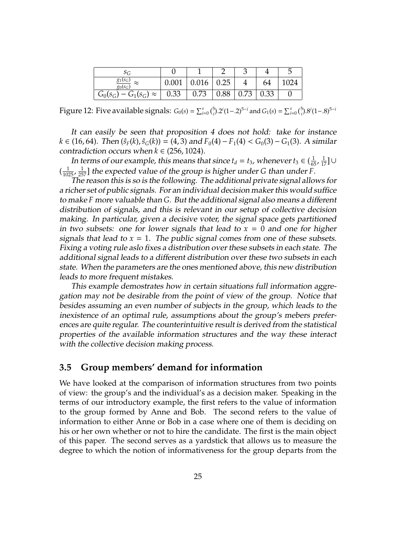| $S_G$                                    |       |       |             |      |      |      |
|------------------------------------------|-------|-------|-------------|------|------|------|
| $\frac{g_1(s_G)}{g_0(s_G)}$<br>$\approx$ | 0.001 | 0.016 | $\mid$ 0.25 |      | 64   | 1024 |
| $G_0(s_G) - G_1(s_G) \approx$            | 0.33  | 0.73  | 0.88        | 0.73 | 0.33 |      |

Figure 12: Five available signals:  $G_0(s) = \sum_{i=0}^{s} {5 \choose i} 2^i (1-2)^{5-i}$  and  $G_1(s) = \sum_{i=0}^{s} {5 \choose i} 3^i (1-3)^{5-i}$ 

It can easily be seen that proposition [4](#page-18-0) does not hold: take for instance *k* ∈ (16, 64). Then  $(\hat{s}_F(k), \hat{s}_G(k)) = (4, 3)$  and  $F_0(4) - F_1(4) < G_0(3) - G_1(3)$ . A similar contradiction occurs when  $k \in (256, 1024)$ .

In terms of our example, this means that since  $t_d = t_3$ , whenever  $t_3 \in (\frac{1}{65}, \frac{1}{17}] \cup$  $\left(\frac{1}{1025}, \frac{1}{257}\right]$  the expected value of the group is higher under *G* than under *F*.

The reason this is so is the following. The additional private signal allows for a richer set of public signals. For an individual decision maker this would suffice to make *F* more valuable than *G*. But the additional signal also means a different distribution of signals, and this is relevant in our setup of collective decision making. In particular, given a decisive voter, the signal space gets partitioned in two subsets: one for lower signals that lead to  $x = 0$  and one for higher signals that lead to  $x = 1$ . The public signal comes from one of these subsets. Fixing a voting rule aslo fixes a distribution over these subsets in each state. The additional signal leads to a different distribution over these two subsets in each state. When the parameters are the ones mentioned above, this new distribution leads to more frequent mistakes.

This example demostrates how in certain situations full information aggregation may not be desirable from the point of view of the group. Notice that besides assuming an even number of subjects in the group, which leads to the inexistence of an optimal rule, assumptions about the group's mebers preferences are quite regular. The counterintuitive result is derived from the statistical properties of the available information structures and the way these interact with the collective decision making process.

### **3.5 Group members' demand for information**

We have looked at the comparison of information structures from two points of view: the group's and the individual's as a decision maker. Speaking in the terms of our introductory example, the first refers to the value of information to the group formed by Anne and Bob. The second refers to the value of information to either Anne or Bob in a case where one of them is deciding on his or her own whether or not to hire the candidate. The first is the main object of this paper. The second serves as a yardstick that allows us to measure the degree to which the notion of informativeness for the group departs from the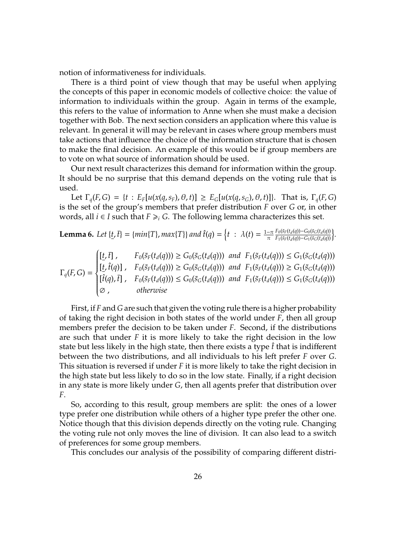notion of informativeness for individuals.

There is a third point of view though that may be useful when applying the concepts of this paper in economic models of collective choice: the value of information to individuals within the group. Again in terms of the example, this refers to the value of information to Anne when she must make a decision together with Bob. The next section considers an application where this value is relevant. In general it will may be relevant in cases where group members must take actions that influence the choice of the information structure that is chosen to make the final decision. An example of this would be if group members are to vote on what source of information should be used.

Our next result characterizes this demand for information within the group. It should be no surprise that this demand depends on the voting rule that is used.

Let  $\Gamma_q(F,G) = \{t : E_F[u(x(q,s_F), \theta, t)] \ge E_G[u(x(q,s_G), \theta, t)]\}$ . That is,  $\Gamma_q(F,G)$ is the set of the group's members that prefer distribution *F* over *G* or, in other words, all *i* ∈ *I* such that  $F \geq i$  *G*. The following lemma characterizes this set.

<span id="page-25-0"></span>**Lemma 6.** Let 
$$
\{t, \bar{t}\} = \{min\{T\}, max\{T\}\}
$$
 and  $\hat{t}(q) = \{t : \lambda(t) = \frac{1-\pi}{\pi} \frac{F_0(\bar{s}_F(t_d(q)) - G_0(\bar{s}_C(t_d(q)))}{F_1(\bar{s}_F(t_d(q)) - G_1(\bar{s}_C(t_d(q)))}\}$ .

$$
\Gamma_q(F,G) = \begin{cases}\n[\underline{t}, \overline{t}] \ , & F_0(\tilde{s}_F(t_d(q))) \geq G_0(\tilde{s}_G(t_d(q))) \ \text{and} \ F_1(\tilde{s}_F(t_d(q))) \leq G_1(\tilde{s}_G(t_d(q))) \\
[\underline{t}, \hat{t}(q)] \ , & F_0(\tilde{s}_F(t_d(q))) \geq G_0(\tilde{s}_G(t_d(q))) \ \text{and} \ F_1(\tilde{s}_F(t_d(q))) \geq G_1(\tilde{s}_G(t_d(q))) \\
[\hat{t}(q), \overline{t}] \ , & F_0(\tilde{s}_F(t_d(q))) \leq G_0(\tilde{s}_G(t_d(q))) \ \text{and} \ F_1(\tilde{s}_F(t_d(q))) \leq G_1(\tilde{s}_G(t_d(q))) \\
\varnothing \ , & otherwise\n\end{cases}
$$

First, if *F* and *G* are such that given the voting rule there is a higher probability of taking the right decision in both states of the world under *F*, then all group members prefer the decision to be taken under *F*. Second, if the distributions are such that under *F* it is more likely to take the right decision in the low state but less likely in the high state, then there exists a type  $\hat{t}$  that is indifferent between the two distributions, and all individuals to his left prefer *F* over *G*. This situation is reversed if under *F* it is more likely to take the right decision in the high state but less likely to do so in the low state. Finally, if a right decision in any state is more likely under *G*, then all agents prefer that distribution over *F*.

So, according to this result, group members are split: the ones of a lower type prefer one distribution while others of a higher type prefer the other one. Notice though that this division depends directly on the voting rule. Changing the voting rule not only moves the line of division. It can also lead to a switch of preferences for some group members.

This concludes our analysis of the possibility of comparing different distri-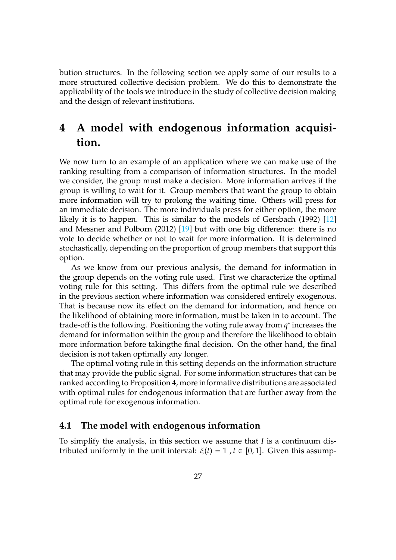bution structures. In the following section we apply some of our results to a more structured collective decision problem. We do this to demonstrate the applicability of the tools we introduce in the study of collective decision making and the design of relevant institutions.

# **4 A model with endogenous information acquisition.**

We now turn to an example of an application where we can make use of the ranking resulting from a comparison of information structures. In the model we consider, the group must make a decision. More information arrives if the group is willing to wait for it. Group members that want the group to obtain more information will try to prolong the waiting time. Others will press for an immediate decision. The more individuals press for either option, the more likely it is to happen. This is similar to the models of Gersbach (1992) [\[12\]](#page-36-5) and Messner and Polborn (2012) [\[19\]](#page-36-8) but with one big difference: there is no vote to decide whether or not to wait for more information. It is determined stochastically, depending on the proportion of group members that support this option.

As we know from our previous analysis, the demand for information in the group depends on the voting rule used. First we characterize the optimal voting rule for this setting. This differs from the optimal rule we described in the previous section where information was considered entirely exogenous. That is because now its effect on the demand for information, and hence on the likelihood of obtaining more information, must be taken in to account. The trade-off is the following. Positioning the voting rule away from  $q^*$  increases the demand for information within the group and therefore the likelihood to obtain more information before takingthe final decision. On the other hand, the final decision is not taken optimally any longer.

The optimal voting rule in this setting depends on the information structure that may provide the public signal. For some information structures that can be ranked according to Proposition [4,](#page-18-0) more informative distributions are associated with optimal rules for endogenous information that are further away from the optimal rule for exogenous information.

## **4.1 The model with endogenous information**

To simplify the analysis, in this section we assume that *I* is a continuum distributed uniformly in the unit interval:  $ξ(t) = 1$ ,  $t ∈ [0, 1]$ . Given this assump-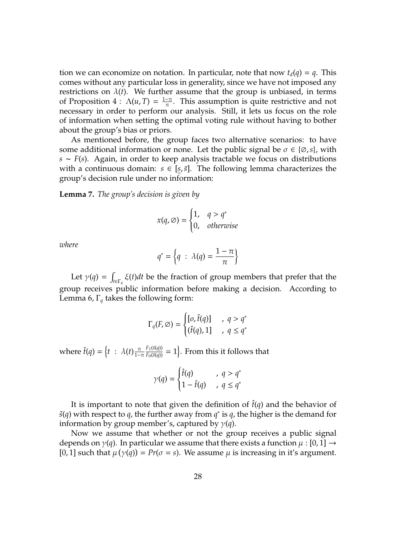tion we can economize on notation. In particular, note that now  $t_d(q) = q$ . This comes without any particular loss in generality, since we have not imposed any restrictions on  $\lambda(t)$ . We further assume that the group is unbiased, in terms of Proposition  $4: \Lambda(u, T) = \frac{1-\pi}{\pi}$  $4: \Lambda(u, T) = \frac{1-\pi}{\pi}$  $\frac{-\pi}{\pi}$ . This assumption is quite restrictive and not necessary in order to perform our analysis. Still, it lets us focus on the role of information when setting the optimal voting rule without having to bother about the group's bias or priors.

As mentioned before, the group faces two alternative scenarios: to have some additional information or none. Let the public signal be  $\sigma \in \{\emptyset, s\}$ , with *s* ∼ *F*(*s*). Again, in order to keep analysis tractable we focus on distributions with a continuous domain:  $s \in [s, \bar{s}]$ . The following lemma characterizes the group's decision rule under no information:

<span id="page-27-0"></span>**Lemma 7.** *The group's decision is given by*

$$
x(q, \emptyset) = \begin{cases} 1, & q > q^* \\ 0, & otherwise \end{cases}
$$

*where*

$$
q^* = \left\{q \; : \; \lambda(q) = \frac{1-\pi}{\pi}\right\}
$$

Let  $\gamma(q) =$ *t*∈Γ*<sup>q</sup>* ξ(*t*)*dt* be the fraction of group members that prefer that the group receives public information before making a decision. According to Lemma [6,](#page-25-0) Γ*<sup>q</sup>* takes the following form:

$$
\Gamma_q(F, \varnothing) = \begin{cases} [o, \hat{t}(q)] & , q > q^* \\ (\hat{t}(q), 1] & , q \le q^* \end{cases}
$$

where  $\hat{t}(q) = \left\{ t : \lambda(t) \frac{\pi}{1-\pi} \right\}$  $\frac{F_1(\tilde{s}(q))}{F_0(\tilde{s}(q))} = 1$ . From this it follows that

$$
\gamma(q) = \begin{cases} \hat{t}(q) & , q > q^* \\ 1 - \hat{t}(q) & , q \le q^* \end{cases}
$$

It is important to note that given the definition of  $\hat{t}(q)$  and the behavior of  $\tilde{s}(q)$  with respect to *q*, the further away from  $q^*$  is *q*, the higher is the demand for information by group member's, captured by  $\gamma(q)$ .

Now we assume that whether or not the group receives a public signal depends on  $\gamma(q)$ . In particular we assume that there exists a function  $\mu : [0,1] \rightarrow$ [0, 1] such that  $\mu(\gamma(q)) = Pr(\sigma = s)$ . We assume  $\mu$  is increasing in it's argument.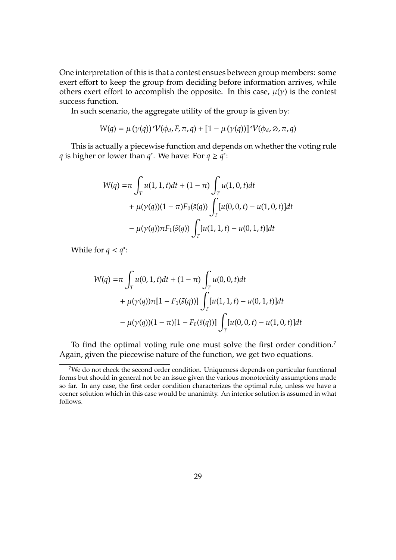One interpretation of this is that a contest ensues between group members: some exert effort to keep the group from deciding before information arrives, while others exert effort to accomplish the opposite. In this case,  $\mu(\gamma)$  is the contest success function.

In such scenario, the aggregate utility of the group is given by:

$$
W(q) = \mu(\gamma(q)) \mathcal{V}(\phi_d, F, \pi, q) + [1 - \mu(\gamma(q))] \mathcal{V}(\phi_d, \emptyset, \pi, q)
$$

This is actually a piecewise function and depends on whether the voting rule *q* is higher or lower than *q*<sup>\*</sup>. We have: For  $q \ge q^*$ :

$$
W(q) = \pi \int_{T} u(1, 1, t)dt + (1 - \pi) \int_{T} u(1, 0, t)dt
$$
  
+  $\mu(\gamma(q))(1 - \pi)F_0(\tilde{s}(q)) \int_{T} [u(0, 0, t) - u(1, 0, t)]dt$   
-  $\mu(\gamma(q))\pi F_1(\tilde{s}(q)) \int_{T} [u(1, 1, t) - u(0, 1, t)]dt$ 

While for  $q < q^*$ :

$$
W(q) = \pi \int_{T} u(0, 1, t)dt + (1 - \pi) \int_{T} u(0, 0, t)dt
$$
  
+  $\mu(\gamma(q))\pi[1 - F_1(\tilde{s}(q))]$  $\int_{T} [u(1, 1, t) - u(0, 1, t)]dt$   
-  $\mu(\gamma(q))(1 - \pi)[1 - F_0(\tilde{s}(q))]$  $\int_{T} [u(0, 0, t) - u(1, 0, t)]dt$ 

To find the optimal voting rule one must solve the first order condition.[7](#page-0-0) Again, given the piecewise nature of the function, we get two equations.

<sup>&</sup>lt;sup>7</sup>We do not check the second order condition. Uniqueness depends on particular functional forms but should in general not be an issue given the various monotonicity assumptions made so far. In any case, the first order condition characterizes the optimal rule, unless we have a corner solution which in this case would be unanimity. An interior solution is assumed in what follows.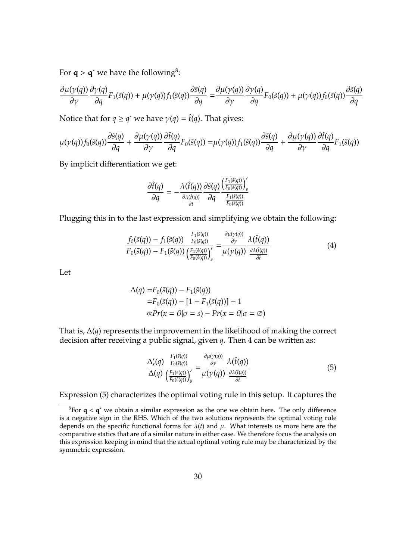For  $q > q^*$  we have the following<sup>[8](#page-0-0)</sup>:

$$
\frac{\partial \mu(\gamma(q))}{\partial \gamma} \frac{\partial \gamma(q)}{\partial q} F_1(\tilde{s}(q)) + \mu(\gamma(q)) f_1(\tilde{s}(q)) \frac{\partial \tilde{s}(q)}{\partial q} = \frac{\partial \mu(\gamma(q))}{\partial \gamma} \frac{\partial \gamma(q)}{\partial q} F_0(\tilde{s}(q)) + \mu(\gamma(q)) f_0(\tilde{s}(q)) \frac{\partial \tilde{s}(q)}{\partial q}
$$

Notice that for  $q \ge q^*$  we have  $\gamma(q) = \hat{t}(q)$ . That gives:

$$
\mu(\gamma(q))f_0(\tilde{s}(q))\frac{\partial \tilde{s}(q)}{\partial q} + \frac{\partial \mu(\gamma(q))}{\partial \gamma}\frac{\partial \hat{t}(q)}{\partial q}F_0(\tilde{s}(q)) = \mu(\gamma(q))f_1(\tilde{s}(q))\frac{\partial \tilde{s}(q)}{\partial q} + \frac{\partial \mu(\gamma(q))}{\partial \gamma}\frac{\partial \hat{t}(q)}{\partial q}F_1(\tilde{s}(q))
$$

By implicit differentiation we get:

<span id="page-29-0"></span>
$$
\frac{\partial \hat{t}(q)}{\partial q} = -\frac{\lambda(\hat{t}(q))}{\frac{\partial \lambda(\hat{t}(q))}{\partial t}} \frac{\partial \tilde{s}(q)}{\partial q} \frac{\left(\frac{F_1(\tilde{s}(q))}{F_0(\tilde{s}(q))}\right)_{s}'}{\frac{F_1(\tilde{s}(q))}{F_0(\tilde{s}(q))}}
$$

Plugging this in to the last expression and simplifying we obtain the following:

$$
\frac{f_0(\tilde{s}(q)) - f_1(\tilde{s}(q))}{F_0(\tilde{s}(q)) - F_1(\tilde{s}(q))} \frac{\frac{F_1(\tilde{s}(q))}{F_0(\tilde{s}(q))}}{\left(\frac{F_1(\tilde{s}(q))}{F_0(\tilde{s}(q))}\right)'_s} = \frac{\frac{\partial \mu(\gamma(q))}{\partial \gamma}}{\mu(\gamma(q))} \frac{\lambda(\hat{t}(q))}{\frac{\partial \lambda(\hat{t}(q))}{\partial \hat{t}}}
$$
(4)

Let

$$
\Delta(q) = F_0(\tilde{s}(q)) - F_1(\tilde{s}(q))
$$
  
=  $F_0(\tilde{s}(q)) - [1 - F_1(\tilde{s}(q))] - 1$   

$$
\propto Pr(x = \theta | \sigma = s) - Pr(x = \theta | \sigma = \emptyset)
$$

That is, ∆(*q*) represents the improvement in the likelihood of making the correct decision after receiving a public signal, given *q*. Then [4](#page-29-0) can be written as:

<span id="page-29-1"></span>
$$
\frac{\Delta'_{s}(q)}{\Delta(q)} \frac{\frac{F_1(\tilde{s}(q))}{F_0(\tilde{s}(q))}}{\left(\frac{F_1(\tilde{s}(q))}{F_0(\tilde{s}(q))}\right)'_{s}} = \frac{\frac{\partial \mu(\gamma(q))}{\partial \gamma}}{\mu(\gamma(q))} \frac{\lambda(\hat{t}(q))}{\frac{\partial \lambda(\hat{t}(q))}{\partial \hat{t}}}
$$
(5)

Expression [\(5\)](#page-29-1) characterizes the optimal voting rule in this setup. It captures the

<sup>8</sup>For **q** < **q** <sup>∗</sup> we obtain a similar expression as the one we obtain here. The only difference is a negative sign in the RHS. Which of the two solutions represents the optimal voting rule depends on the specific functional forms for  $\lambda(t)$  and  $\mu$ . What interests us more here are the comparative statics that are of a similar nature in either case. We therefore focus the analysis on this expression keeping in mind that the actual optimal voting rule may be characterized by the symmetric expression.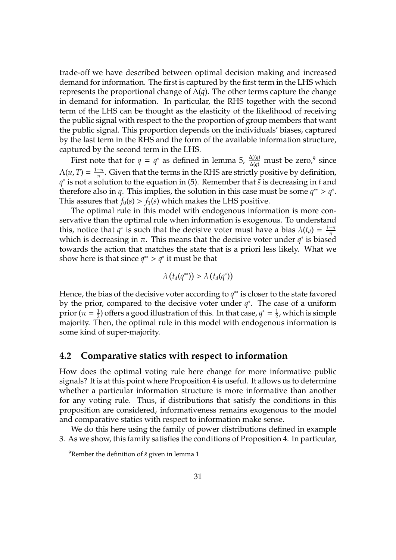trade-off we have described between optimal decision making and increased demand for information. The first is captured by the first term in the LHS which represents the proportional change of ∆(*q*). The other terms capture the change in demand for information. In particular, the RHS together with the second term of the LHS can be thought as the elasticity of the likelihood of receiving the public signal with respect to the the proportion of group members that want the public signal. This proportion depends on the individuals' biases, captured by the last term in the RHS and the form of the available information structure, captured by the second term in the LHS.

First note that for  $q = q^*$  as defined in lemma [5,](#page-21-0)  $\frac{\Delta_s'(q)}{\Delta(q)}$  must be zero,<sup>[9](#page-0-0)</sup> since  $\Lambda(u,T) = \frac{1-\pi}{\pi}$  $\frac{-\pi}{\pi}$ . Given that the terms in the RHS are strictly positive by definition, *q*<sup>∗</sup> is not a solution to the equation in [\(5\)](#page-29-1). Remember that *s*<sup>̃</sup> is decreasing in *t* and therefore also in *q*. This implies, the solution in this case must be some  $q^*$  >  $q^*$ . This assures that  $f_0(s) > f_1(s)$  which makes the LHS positive.

The optimal rule in this model with endogenous information is more conservative than the optimal rule when information is exogenous. To understand this, notice that  $q^*$  is such that the decisive voter must have a bias  $\lambda(t_d) = \frac{1-\pi}{\pi}$ π which is decreasing in  $\pi$ . This means that the decisive voter under  $q^*$  is biased towards the action that matches the state that is a priori less likely. What we show here is that since  $q^{**} > q^*$  it must be that

$$
\lambda\left(t_d(q^{**})\right) > \lambda\left(t_d(q^{*})\right)
$$

Hence, the bias of the decisive voter according to  $q^{**}$  is closer to the state favored by the prior, compared to the decisive voter under *q* ∗ . The case of a uniform prior ( $\pi = \frac{1}{2}$  $\frac{1}{2}$ ) offers a good illustration of this. In that case,  $q^* = \frac{1}{2}$  $\frac{1}{2}$ , which is simple majority. Then, the optimal rule in this model with endogenous information is some kind of super-majority.

### **4.2 Comparative statics with respect to information**

How does the optimal voting rule here change for more informative public signals? It is at this point where Proposition [4](#page-18-0) is useful. It allows us to determine whether a particular information structure is more informative than another for any voting rule. Thus, if distributions that satisfy the conditions in this proposition are considered, informativeness remains exogenous to the model and comparative statics with respect to information make sense.

We do this here using the family of power distributions defined in example [3.](#page-18-1) As we show, this family satisfies the conditions of Proposition [4.](#page-18-0) In particular,

<sup>&</sup>lt;sup>9</sup>Rember the definition of  $\tilde{s}$  given in lemma [1](#page-10-0)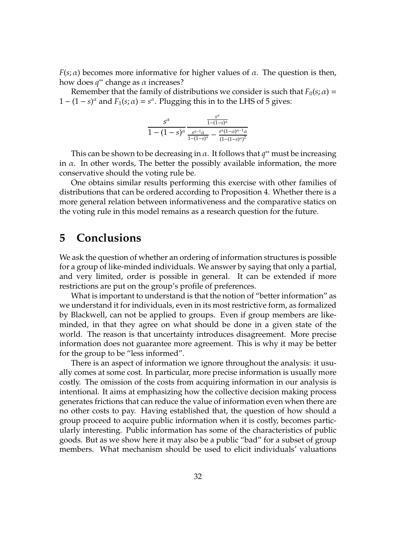*F*( $s$ ;  $\alpha$ ) becomes more informative for higher values of  $\alpha$ . The question is then, how does *q* ∗∗ change as α increases?

Remember that the family of distributions we consider is such that  $F_0(s; \alpha)$  =  $1 - (1 - s)^{\alpha}$  and  $F_1(s; \alpha) = s^{\alpha}$ . Plugging this in to the LHS of [5](#page-29-1) gives:

$$
\frac{s^{\alpha}}{1-(1-s)^{\alpha}} \frac{\frac{s^{\alpha}}{1-(1-s)^{\alpha}}}{\frac{s^{\alpha-1}\alpha}{1-(1-s)^{\alpha}}-\frac{s^{\alpha}(1-\alpha)^{\alpha-1}\alpha}{(1-(1-s)^{\alpha})^2}}
$$

This can be shown to be decreasing in  $\alpha$ . It follows that  $q^{**}$  must be increasing in  $\alpha$ . In other words, The better the possibly available information, the more conservative should the voting rule be.

One obtains similar results performing this exercise with other families of distributions that can be ordered according to Proposition [4.](#page-18-0) Whether there is a more general relation between informativeness and the comparative statics on the voting rule in this model remains as a research question for the future.

## **5 Conclusions**

We ask the question of whether an ordering of information structures is possible for a group of like-minded individuals. We answer by saying that only a partial, and very limited, order is possible in general. It can be extended if more restrictions are put on the group's profile of preferences.

What is important to understand is that the notion of "better information" as we understand it for individuals, even in its most restrictive form, as formalized by Blackwell, can not be applied to groups. Even if group members are likeminded, in that they agree on what should be done in a given state of the world. The reason is that uncertainty introduces disagreement. More precise information does not guarantee more agreement. This is why it may be better for the group to be "less informed".

There is an aspect of information we ignore throughout the analysis: it usually comes at some cost. In particular, more precise information is usually more costly. The omission of the costs from acquiring information in our analysis is intentional. It aims at emphasizing how the collective decision making process generates frictions that can reduce the value of information even when there are no other costs to pay. Having established that, the question of how should a group proceed to acquire public information when it is costly, becomes particularly interesting. Public information has some of the characteristics of public goods. But as we show here it may also be a public "bad" for a subset of group members. What mechanism should be used to elicit individuals' valuations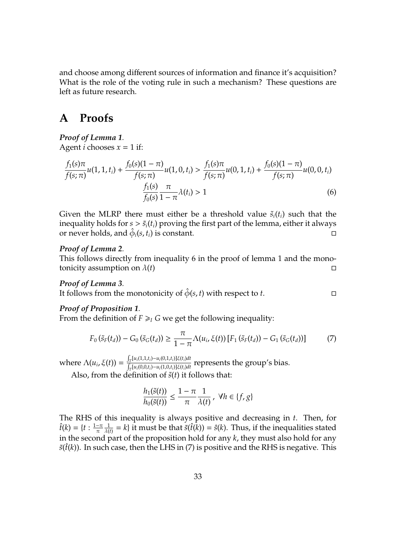and choose among different sources of information and finance it's acquisition? What is the role of the voting rule in such a mechanism? These questions are left as future research.

## **A Proofs**

### *Proof of Lemma [1](#page-9-0).*

Agent *i* chooses  $x = 1$  if:

<span id="page-32-0"></span>
$$
\frac{f_1(s)\pi}{f(s;\pi)}u(1,1,t_i) + \frac{f_0(s)(1-\pi)}{f(s;\pi)}u(1,0,t_i) > \frac{f_1(s)\pi}{f(s;\pi)}u(0,1,t_i) + \frac{f_0(s)(1-\pi)}{f(s;\pi)}u(0,0,t_i) \\
\frac{f_1(s)}{f_0(s)}\frac{\pi}{1-\pi}\lambda(t_i) > 1\n\tag{6}
$$

Given the MLRP there must either be a threshold value  $\tilde{s}_i(t_i)$  such that the inequality holds for  $s > \tilde{s}_i(t_i)$  proving the first part of the lemma, either it always or never holds, and  $\hat{\phi}_i(s, t_i)$  is constant.

#### *Proof of Lemma [2](#page-10-1).*

This follows directly from inequality [6](#page-32-0) in the proof of lemma [1](#page-9-0) and the monotonicity assumption on  $\lambda(t)$ 

#### *Proof of Lemma [3](#page-11-0).*

It follows from the monotonicity of  $\hat{\phi}(s, t)$  with respect to *t*.

#### *Proof of Proposition [1](#page-13-0).*

From the definition of  $F \geq I$  *G* we get the following inequality:

<span id="page-32-1"></span>
$$
F_0(\tilde{s}_F(t_d)) - G_0(\tilde{s}_G(t_d)) \ge \frac{\pi}{1 - \pi} \Lambda(u_i, \xi(t)) [F_1(\tilde{s}_F(t_d)) - G_1(\tilde{s}_G(t_d))]
$$
(7)

 $\text{where } \Lambda(u_i, \xi(t)) = \frac{\int_{\tau} [u_i(1,1,t_i) - u_i(0,1,t_i)]\xi(t_i)dt}{\int_{\tau} [u_i(0,0,t_i) - u_i(1,0,t_i)]\xi(t_i)dt}$  $\frac{\int_{T} [u_i(0,0,t_i)-u_i(1,0,t_i)]\xi(t_i)dt}{\int_{T} [u_i(0,0,t_i)-u_i(1,0,t_i)]\xi(t_i)dt}$  represents the group's bias.

Also, from the definition of  $\tilde{s}(t)$  it follows that:

$$
\frac{h_1(\tilde{s}(t))}{h_0(\tilde{s}(t))} \le \frac{1-\pi}{\pi} \frac{1}{\lambda(t)}, \ \forall h \in \{f,g\}
$$

The RHS of this inequality is always positive and decreasing in *t*. Then, for  $\hat{t}(k) = \{t : \frac{1-\pi}{\pi}\}$ π 1  $\frac{1}{\lambda(t)} = k$  it must be that  $\tilde{s}(\hat{t}(k)) = \hat{s}(k)$ . Thus, if the inequalities stated in the second part of the proposition hold for any *k*, they must also hold for any  $\tilde{s}$ ( $\hat{t}$ ( $k$ )). In such case, then the LHS in [\(7\)](#page-32-1) is positive and the RHS is negative. This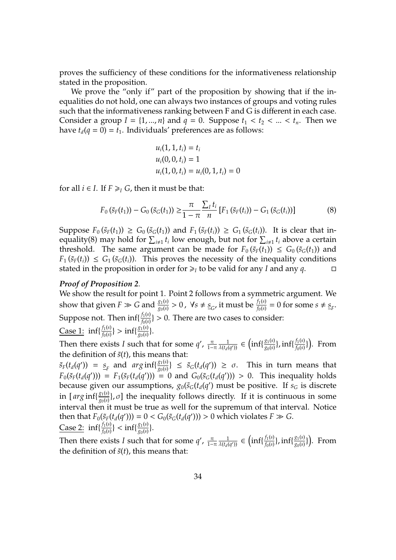proves the sufficiency of these conditions for the informativeness relationship stated in the proposition.

We prove the "only if" part of the proposition by showing that if the inequalities do not hold, one can always two instances of groups and voting rules such that the informativeness ranking between F and G is different in each case. Consider a group  $I = \{1, ..., n\}$  and  $q = 0$ . Suppose  $t_1 < t_2 < ... < t_n$ . Then we have  $t_d(q = 0) = t_1$ . Individuals' preferences are as follows:

<span id="page-33-0"></span>
$$
u_i(1, 1, t_i) = t_i
$$
  
\n
$$
u_i(0, 0, t_i) = 1
$$
  
\n
$$
u_i(1, 0, t_i) = u_i(0, 1, t_i) = 0
$$

for all  $i \in I$ . If  $F \geq I$  *G*, then it must be that:

$$
F_0(\tilde{s}_F(t_1)) - G_0(\tilde{s}_G(t_1)) \geq \frac{\pi}{1 - \pi} \frac{\sum_l t_i}{n} [F_1(\tilde{s}_F(t_i)) - G_1(\tilde{s}_G(t_i))]
$$
(8)

Suppose  $F_0(\tilde{s}_F(t_1)) \ge G_0(\tilde{s}_G(t_1))$  and  $F_1(\tilde{s}_F(t_i)) \ge G_1(\tilde{s}_G(t_i))$ . It is clear that in-equality[\(8\)](#page-33-0) may hold for  $\sum_{i\neq 1} t_i$  low enough, but not for  $\sum_{i\neq 1} t_i$  above a certain threshold. The same argument can be made for  $F_0(\tilde{s}_F(t_1)) \leq G_0(\tilde{s}_G(t_1))$  and  $F_1(\tilde{s}_F(t_i)) \leq G_1(\tilde{s}_G(t_i))$ . This proves the necessity of the inequality conditions stated in the proposition in order for  $\geq_I$  to be valid for any *I* and any *q*.

#### *Proof of Proposition [2](#page-15-1).*

We show the result for point 1. Point 2 follows from a symmetric argument. We show that given  $F \gg G$  and  $\frac{g_1(s)}{g_0(s)} > 0$ ,  $\forall s \neq s_G$ , it must be  $\frac{f_1(s)}{f_0(s)} = 0$  for some  $s \neq s_F$ . Suppose not. Then  $\inf\{\frac{f_1(s)}{f_0(s)}\}$  $\frac{f_1(s)}{f_0(s)}\} > 0.$  There are two cases to consider: Case 1:  $inf\{\frac{f_1(s)}{f_0(s)}\}$  $\frac{f_1(s)}{f_0(s)}\} > \inf\{\frac{g_1(s)}{g_0(s)}\}$  $\frac{g_1(s)}{g_0(s)}\}$ .

Then there exists *I* such that for some  $q'$ ,  $\frac{\pi}{1-\pi} \frac{1}{\lambda(t_d)}$  $\frac{1}{\lambda(t_d(q'))} \in \left( \inf \{ \frac{g_1(s)}{g_0(s)} \right)$  $\frac{g_1(s)}{g_0(s)}\}$ , inf{ $\frac{f_1(s)}{f_0(s)}$  $\frac{f_1(s)}{f_0(s)}\}$ ). From the definition of  $\tilde{s}(t)$ , this means that:

 $\tilde{s}_F(t_d(q')) = s_F$  and  $arg\inf\{\frac{g_1(s)}{g_0(s)}\}$  $\left\{\frac{g_1(s)}{g_0(s)}\right\}$  ≤  $\tilde{s}_G(t_d(q'))$  ≥ σ. This in turn means that  $F_0(\tilde{s}_F(t_d(q'))) = F_1(\tilde{s}_F(t_d(q'))) = 0$  and  $G_0(\tilde{s}_G(t_d(q'))) > 0$ . This inequality holds because given our assumptions,  $g_0(\tilde{s}_G(t_d(q')))$  must be positive. If  $s_G$  is discrete in [ $arg\inf_{\sigma_0(s)}$  $\frac{g_1(s)}{g_0(s)}$ ,  $\sigma$ ] the inequality follows directly. If it is continuous in some interval then it must be true as well for the supremum of that interval. Notice then that  $F_0(\tilde{s}_F(t_d(q'))) = 0 < G_0(\tilde{s}_G(t_d(q'))) > 0$  which violates  $F \gg G$ . Case 2:  $\inf\{\frac{f_1(s)}{f_0(s)}\}$  $\frac{f_1(s)}{f_0(s)}\}<\inf\{\frac{g_1(s)}{g_0(s)}\}$  $\frac{g_1(s)}{g_0(s)}\}$ .

Then there exists *I* such that for some  $q'$ ,  $\frac{\pi}{1-\pi} \frac{1}{\lambda(t_d)}$  $\frac{1}{\lambda(t_d(q'))} \in \left( \inf \{ \frac{f_1(s)}{f_0(s)} \right)$  $\frac{f_1(s)}{f_0(s)}\}$ , inf{ $\frac{g_1(s)}{g_0(s)}$  $\frac{g_1(s)}{g_0(s)}\}$ ). From the definition of  $\tilde{s}(t)$ , this means that: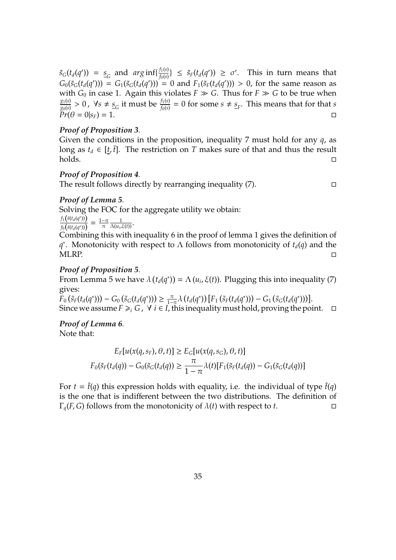$\tilde{s}_G(t_d(q')) = s_G$  and  $arg\inf\{\frac{f_1(s)}{f_0(s)}\}$  $\frac{f_1(s)}{f_0(s)}$ }  $\leq \tilde{s}_F(t_d(q')) \geq \sigma'.$  This in turn means that  $G_0(\tilde{s}_G(t_d(q'))) = G_1(\tilde{s}_G(t_d(q'))) = 0$  and  $F_1(\tilde{s}_F(t_d(q'))) > 0$ , for the same reason as with  $G_0$  in case 1. Again this violates  $F \gg G$ . Thus for  $F \gg G$  to be true when *g*1(*s*)  $\frac{g_1(s)}{g_0(s)} > 0$ ,  $\forall s \neq s_G$  it must be  $\frac{f_1(s)}{f_0(s)} = 0$  for some  $s \neq s_F$ . This means that for that *s*  $Pr(\theta = 0 | s_F) = 1.$ 

#### *Proof of Proposition [3](#page-17-0).*

Given the conditions in the proposition, inequality [7](#page-32-1) must hold for any *q*, as long as  $t_d \in [\underline{t}, \overline{t}]$ . The restriction on *T* makes sure of that and thus the result holds.

#### *Proof of Proposition [4](#page-18-0).*

The result follows directly by rearranging inequality  $(7)$ .

#### *Proof of Lemma [5](#page-21-0).*

Solving the FOC for the aggregate utility we obtain:

 $f_1(\tilde{s}(t_d(q^*))$  $\frac{f_1(\tilde{s}(t_d(q^*)))}{f_0(\tilde{s}(t_d(q^*)))} = \frac{1-\pi}{\pi}$ π 1  $\frac{1}{\Lambda(u_i,\xi(t))}$ .

Combining this with inequality [6](#page-32-0) in the proof of lemma [1](#page-9-0) gives the definition of *q*<sup>\*</sup>. Monotonicity with respect to Λ follows from monotonicity of  $t_d(q)$  and the MLRP.

#### *Proof of Proposition [5](#page-22-0).*

From Lemma [5](#page-21-0) we have  $\lambda(t_d(q^*)) = \Lambda(u_i, \xi(t))$ . Plugging this into inequality [\(7\)](#page-32-1) gives:

 $\overline{F}_0(\tilde{s}_F(t_d(q^*))) - G_0(\tilde{s}_G(t_d(q^*))) \ge \frac{\pi}{1-\pi}\lambda(t_d(q^*)) [F_1(\tilde{s}_F(t_d(q^*))) - G_1(\tilde{s}_G(t_d(q^*)))].$ Since we assume  $F \geq i$  *G*,  $\forall$  *i* ∈ *I*, this inequality must hold, proving the point.  $\Box$ 

## *Proof of Lemma [6](#page-25-0).*

Note that:

$$
E_F[u(x(q,s_F),\theta,t)] \ge E_G[u(x(q,s_G),\theta,t)]
$$
  

$$
F_0(\tilde{s}_F(t_d(q)) - G_0(\tilde{s}_G(t_d(q))) \ge \frac{\pi}{1-\pi} \lambda(t) [F_1(\tilde{s}_F(t_d(q)) - G_1(\tilde{s}_G(t_d(q)))]
$$

For  $t = \hat{t}(q)$  this expression holds with equality, i.e. the individual of type  $\hat{t}(q)$ is the one that is indifferent between the two distributions. The definition of  $\Gamma_q(F, G)$  follows from the monotonicity of  $\lambda(t)$  with respect to *t*.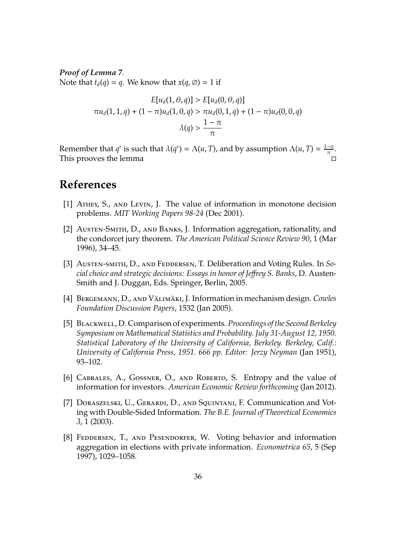*Proof of Lemma [7](#page-27-0).* Note that  $t_d(q) = q$ . We know that  $x(q, \emptyset) = 1$  if

$$
E[u_d(1, \theta, q)] > E[u_d(0, \theta, q)]
$$
  

$$
\pi u_d(1, 1, q) + (1 - \pi)u_d(1, 0, q) > \pi u_d(0, 1, q) + (1 - \pi)u_d(0, 0, q)
$$
  

$$
\lambda(q) > \frac{1 - \pi}{\pi}
$$

Remember that  $q^*$  is such that  $\lambda(q^*) = \Lambda(u, T)$ , and by assumption  $\Lambda(u, T) = \frac{1-\pi}{\pi}$  $\frac{-\pi}{\pi}$ . This prooves the lemma

## **References**

- <span id="page-35-1"></span>[1] Athey, S., and Levin, J. The value of information in monotone decision problems. *MIT Working Papers 98-24* (Dec 2001).
- <span id="page-35-3"></span>[2] Austen-Smith, D., and Banks, J. Information aggregation, rationality, and the condorcet jury theorem. *The American Political Science Review 90*, 1 (Mar 1996), 34–45.
- <span id="page-35-7"></span>[3] Austen-smith, D., and Feddersen, T. Deliberation and Voting Rules. In *Social choice and strategic decisions: Essays in honor of Je*ff*rey S. Banks*, D. Austen-Smith and J. Duggan, Eds. Springer, Berlin, 2005.
- <span id="page-35-5"></span>[4] BERGEMANN, D., AND VÄLIMÄKI, J. Information in mechanism design. *Cowles Foundation Discussion Papers*, 1532 (Jan 2005).
- <span id="page-35-0"></span>[5] Blackwell, D. Comparison of experiments. *Proceedings of the Second Berkeley Symposium on Mathematical Statistics and Probability. July 31-August 12, 1950. Statistical Laboratory of the University of California, Berkeley. Berkeley, Calif.: University of California Press, 1951. 666 pp. Editor: Jerzy Neyman* (Jan 1951), 93–102.
- <span id="page-35-2"></span>[6] CABRALES, A., GOSSNER, O., AND ROBERTO, S. Entropy and the value of information for investors. *American Economic Review forthcoming* (Jan 2012).
- <span id="page-35-6"></span>[7] Doraszelski, U., Gerardi, D., and Squintani, F. Communication and Voting with Double-Sided Information. *The B.E. Journal of Theoretical Economics 3*, 1 (2003).
- <span id="page-35-4"></span>[8] FEDDERSEN, T., AND PESENDORFER, W. Voting behavior and information aggregation in elections with private information. *Econometrica 65*, 5 (Sep 1997), 1029–1058.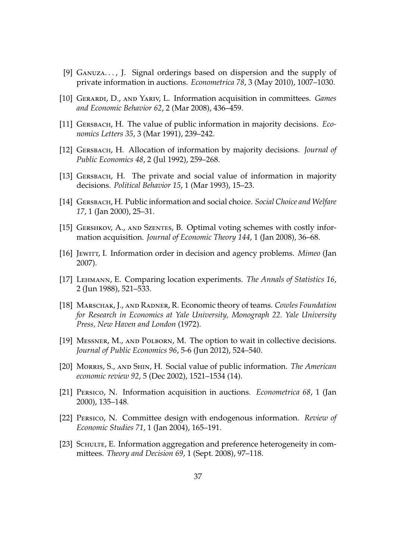- <span id="page-36-3"></span>[9] Ganuza. . . , J. Signal orderings based on dispersion and the supply of private information in auctions. *Econometrica 78*, 3 (May 2010), 1007–1030.
- <span id="page-36-11"></span>[10] Gerardi, D., and Yariv, L. Information acquisition in committees. *Games and Economic Behavior 62*, 2 (Mar 2008), 436–459.
- <span id="page-36-4"></span>[11] Gersbach, H. The value of public information in majority decisions. *Economics Letters 35*, 3 (Mar 1991), 239–242.
- <span id="page-36-5"></span>[12] Gersbach, H. Allocation of information by majority decisions. *Journal of Public Economics 48*, 2 (Jul 1992), 259–268.
- <span id="page-36-6"></span>[13] GERSBACH, H. The private and social value of information in majority decisions. *Political Behavior 15*, 1 (Mar 1993), 15–23.
- <span id="page-36-7"></span>[14] Gersbach, H. Public information and social choice. *Social Choice and Welfare 17*, 1 (Jan 2000), 25–31.
- <span id="page-36-12"></span>[15] GERSHKOV, A., AND SZENTES, B. Optimal voting schemes with costly information acquisition. *Journal of Economic Theory 144*, 1 (Jan 2008), 36–68.
- <span id="page-36-2"></span>[16] Jewitt, I. Information order in decision and agency problems. *Mimeo* (Jan 2007).
- <span id="page-36-0"></span>[17] Lehmann, E. Comparing location experiments. *The Annals of Statistics 16*, 2 (Jun 1988), 521–533.
- <span id="page-36-9"></span>[18] Marschak, J., and Radner, R. Economic theory of teams. *Cowles Foundation for Research in Economics at Yale University, Monograph 22. Yale University Press, New Haven and London* (1972).
- <span id="page-36-8"></span>[19] MESSNER, M., AND POLBORN, M. The option to wait in collective decisions. *Journal of Public Economics 96*, 5-6 (Jun 2012), 524–540.
- <span id="page-36-13"></span>[20] Morris, S., and Shin, H. Social value of public information. *The American economic review 92*, 5 (Dec 2002), 1521–1534 (14).
- <span id="page-36-1"></span>[21] Persico, N. Information acquisition in auctions. *Econometrica 68*, 1 (Jan 2000), 135–148.
- <span id="page-36-10"></span>[22] Persico, N. Committee design with endogenous information. *Review of Economic Studies 71*, 1 (Jan 2004), 165–191.
- <span id="page-36-14"></span>[23] SCHULTE, E. Information aggregation and preference heterogeneity in committees. *Theory and Decision 69*, 1 (Sept. 2008), 97–118.